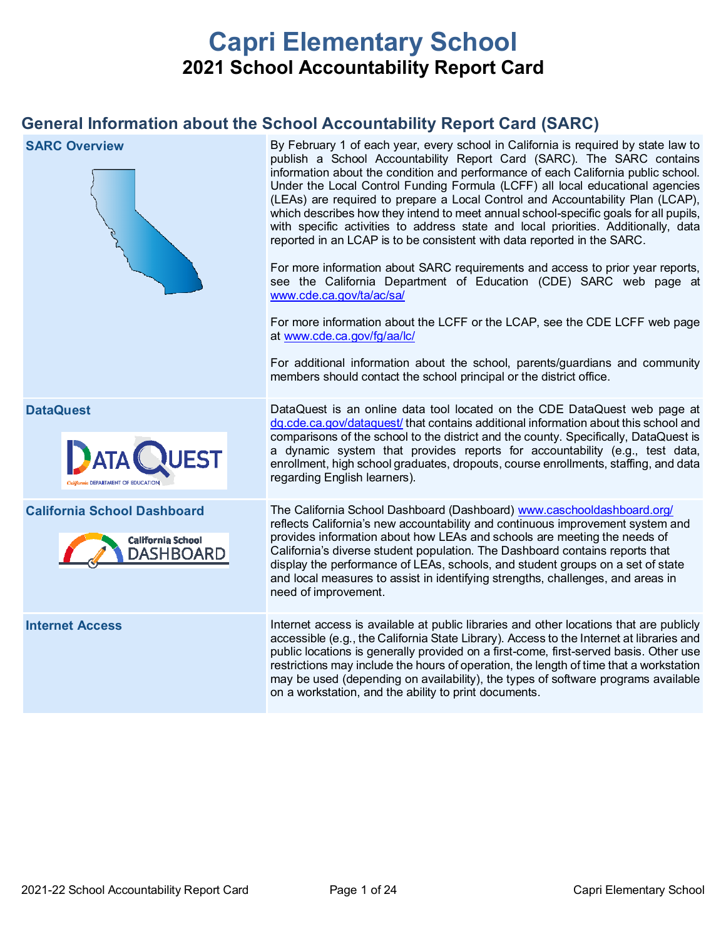# **Capri Elementary School 2021 School Accountability Report Card**

## **General Information about the School Accountability Report Card (SARC)**

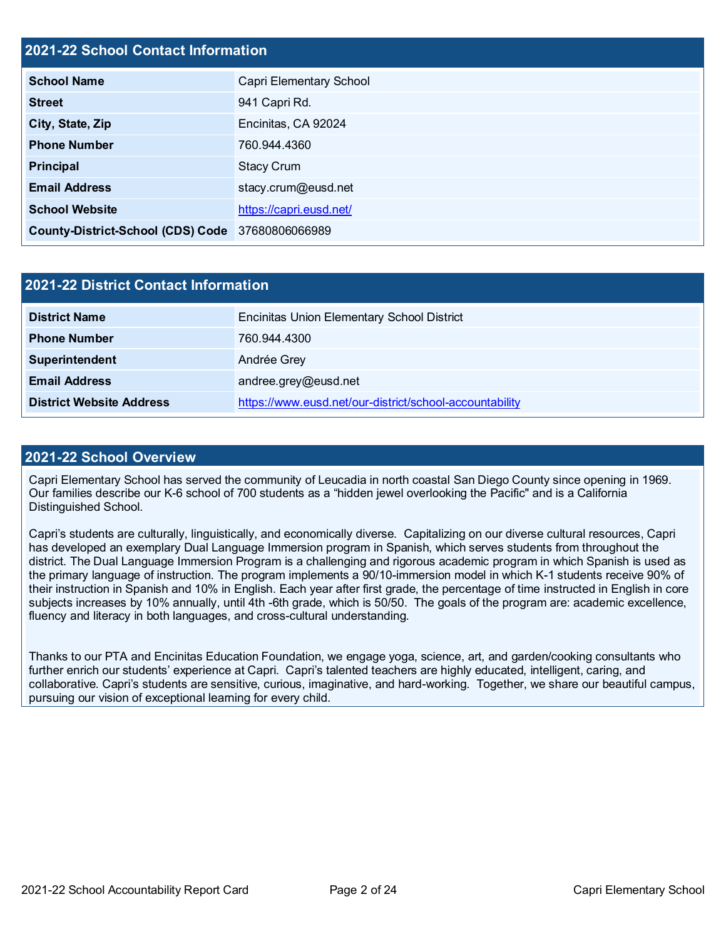## **2021-22 School Contact Information**

| <b>School Name</b>                               | Capri Elementary School |  |  |  |  |
|--------------------------------------------------|-------------------------|--|--|--|--|
| <b>Street</b>                                    | 941 Capri Rd.           |  |  |  |  |
| City, State, Zip                                 | Encinitas, CA 92024     |  |  |  |  |
| <b>Phone Number</b>                              | 760.944.4360            |  |  |  |  |
| <b>Principal</b>                                 | <b>Stacy Crum</b>       |  |  |  |  |
| <b>Email Address</b>                             | stacy.crum@eusd.net     |  |  |  |  |
| <b>School Website</b>                            | https://capri.eusd.net/ |  |  |  |  |
| County-District-School (CDS) Code 37680806066989 |                         |  |  |  |  |

| <b>2021-22 District Contact Information</b> |                                                         |  |  |  |
|---------------------------------------------|---------------------------------------------------------|--|--|--|
| <b>District Name</b>                        | <b>Encinitas Union Elementary School District</b>       |  |  |  |
| <b>Phone Number</b>                         | 760.944.4300                                            |  |  |  |
| Superintendent                              | Andrée Grey                                             |  |  |  |
| <b>Email Address</b>                        | andree.grey@eusd.net                                    |  |  |  |
| <b>District Website Address</b>             | https://www.eusd.net/our-district/school-accountability |  |  |  |

#### **2021-22 School Overview**

Capri Elementary School has served the community of Leucadia in north coastal San Diego County since opening in 1969. Our families describe our K-6 school of 700 students as a "hidden jewel overlooking the Pacific" and is a California Distinguished School.

Capri's students are culturally, linguistically, and economically diverse. Capitalizing on our diverse cultural resources, Capri has developed an exemplary Dual Language Immersion program in Spanish, which serves students from throughout the district. The Dual Language Immersion Program is a challenging and rigorous academic program in which Spanish is used as the primary language of instruction. The program implements a 90/10-immersion model in which K-1 students receive 90% of their instruction in Spanish and 10% in English. Each year after first grade, the percentage of time instructed in English in core subjects increases by 10% annually, until 4th -6th grade, which is 50/50. The goals of the program are: academic excellence, fluency and literacy in both languages, and cross-cultural understanding.

Thanks to our PTA and Encinitas Education Foundation, we engage yoga, science, art, and garden/cooking consultants who further enrich our students' experience at Capri. Capri's talented teachers are highly educated, intelligent, caring, and collaborative. Capri's students are sensitive, curious, imaginative, and hard-working. Together, we share our beautiful campus, pursuing our vision of exceptional learning for every child.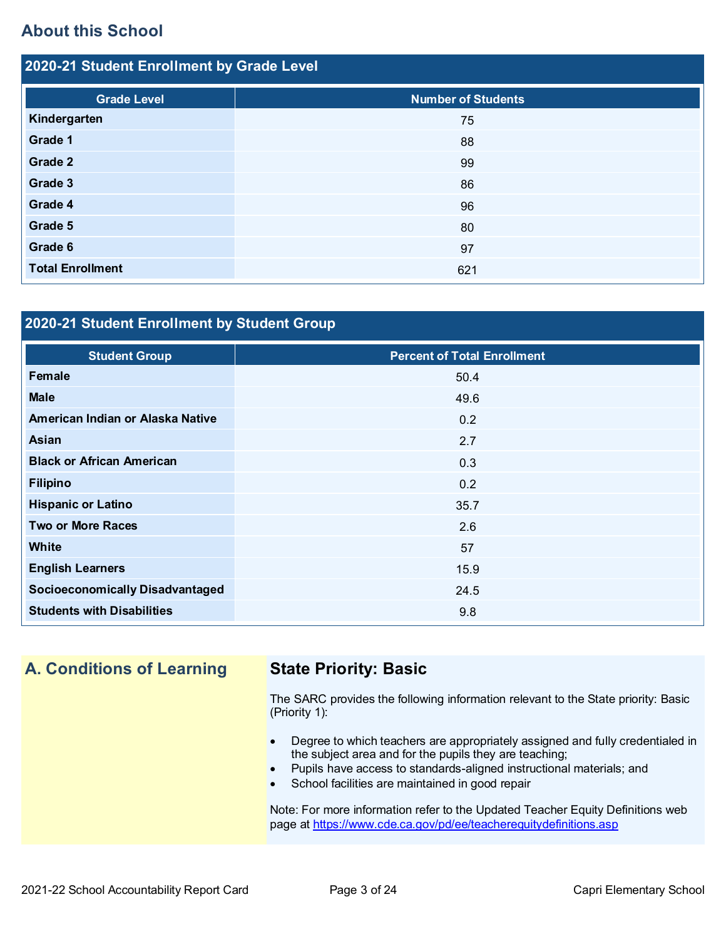## **About this School**

| 2020-21 Student Enrollment by Grade Level |                           |  |  |  |
|-------------------------------------------|---------------------------|--|--|--|
| <b>Grade Level</b>                        | <b>Number of Students</b> |  |  |  |
| Kindergarten                              | 75                        |  |  |  |
| Grade 1                                   | 88                        |  |  |  |
| Grade 2                                   | 99                        |  |  |  |
| Grade 3                                   | 86                        |  |  |  |
| Grade 4                                   | 96                        |  |  |  |
| Grade 5                                   | 80                        |  |  |  |
| Grade 6                                   | 97                        |  |  |  |
| <b>Total Enrollment</b>                   | 621                       |  |  |  |

## **2020-21 Student Enrollment by Student Group**

| <b>Student Group</b>                   | <b>Percent of Total Enrollment</b> |
|----------------------------------------|------------------------------------|
| Female                                 | 50.4                               |
| <b>Male</b>                            | 49.6                               |
| American Indian or Alaska Native       | 0.2                                |
| <b>Asian</b>                           | 2.7                                |
| <b>Black or African American</b>       | 0.3                                |
| <b>Filipino</b>                        | 0.2                                |
| <b>Hispanic or Latino</b>              | 35.7                               |
| <b>Two or More Races</b>               | 2.6                                |
| <b>White</b>                           | 57                                 |
| <b>English Learners</b>                | 15.9                               |
| <b>Socioeconomically Disadvantaged</b> | 24.5                               |
| <b>Students with Disabilities</b>      | 9.8                                |

## **A. Conditions of Learning State Priority: Basic**

The SARC provides the following information relevant to the State priority: Basic (Priority 1):

- Degree to which teachers are appropriately assigned and fully credentialed in the subject area and for the pupils they are teaching;
- Pupils have access to standards-aligned instructional materials; and
- School facilities are maintained in good repair

Note: For more information refer to the Updated Teacher Equity Definitions web page at<https://www.cde.ca.gov/pd/ee/teacherequitydefinitions.asp>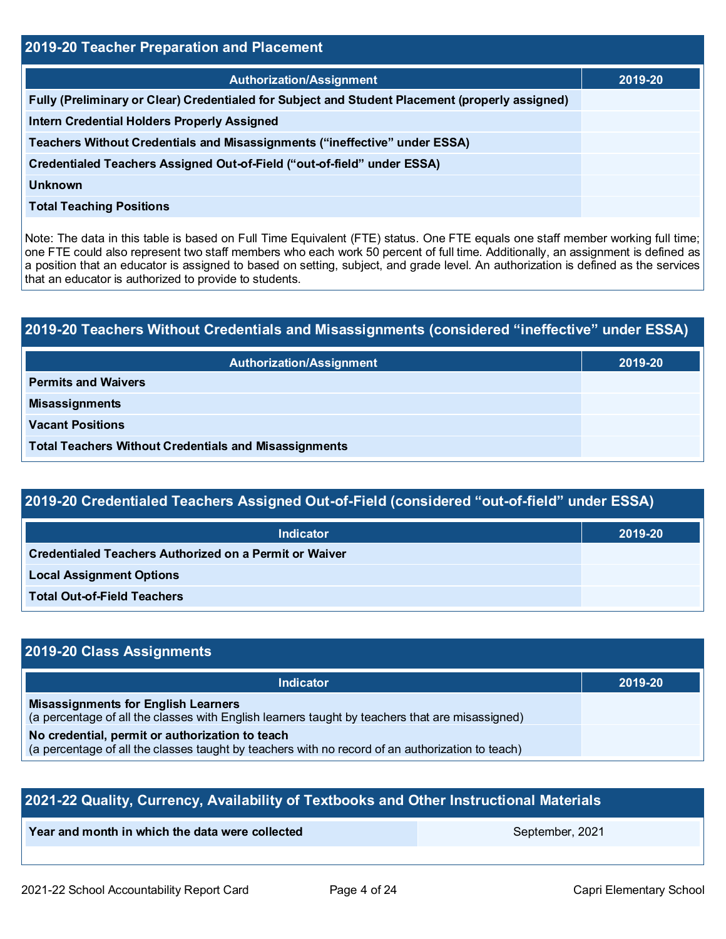| 2019-20 Teacher Preparation and Placement                                                       |         |  |  |  |
|-------------------------------------------------------------------------------------------------|---------|--|--|--|
| <b>Authorization/Assignment</b>                                                                 | 2019-20 |  |  |  |
| Fully (Preliminary or Clear) Credentialed for Subject and Student Placement (properly assigned) |         |  |  |  |
| <b>Intern Credential Holders Properly Assigned</b>                                              |         |  |  |  |
| Teachers Without Credentials and Misassignments ("ineffective" under ESSA)                      |         |  |  |  |
| Credentialed Teachers Assigned Out-of-Field ("out-of-field" under ESSA)                         |         |  |  |  |
| <b>Unknown</b>                                                                                  |         |  |  |  |
| <b>Total Teaching Positions</b>                                                                 |         |  |  |  |
|                                                                                                 |         |  |  |  |

Note: The data in this table is based on Full Time Equivalent (FTE) status. One FTE equals one staff member working full time; one FTE could also represent two staff members who each work 50 percent of full time. Additionally, an assignment is defined as a position that an educator is assigned to based on setting, subject, and grade level. An authorization is defined as the services that an educator is authorized to provide to students.

# **2019-20 Teachers Without Credentials and Misassignments (considered "ineffective" under ESSA)**

| <b>Authorization/Assignment</b>                              | 2019-20 |
|--------------------------------------------------------------|---------|
| <b>Permits and Waivers</b>                                   |         |
| <b>Misassignments</b>                                        |         |
| <b>Vacant Positions</b>                                      |         |
| <b>Total Teachers Without Credentials and Misassignments</b> |         |

## **2019-20 Credentialed Teachers Assigned Out-of-Field (considered "out-of-field" under ESSA)**

| <b>Indicator</b>                                       | 2019-20 |
|--------------------------------------------------------|---------|
| Credentialed Teachers Authorized on a Permit or Waiver |         |
| <b>Local Assignment Options</b>                        |         |
| <b>Total Out-of-Field Teachers</b>                     |         |

## **2019-20 Class Assignments**

| <b>Indicator</b>                                                                                                                                    | 2019-20 |
|-----------------------------------------------------------------------------------------------------------------------------------------------------|---------|
| <b>Misassignments for English Learners</b><br>(a percentage of all the classes with English learners taught by teachers that are misassigned)       |         |
| No credential, permit or authorization to teach<br>(a percentage of all the classes taught by teachers with no record of an authorization to teach) |         |

| 2021-22 Quality, Currency, Availability of Textbooks and Other Instructional Materials |  |  |  |  |  |  |
|----------------------------------------------------------------------------------------|--|--|--|--|--|--|
| Year and month in which the data were collected<br>September, 2021                     |  |  |  |  |  |  |
|                                                                                        |  |  |  |  |  |  |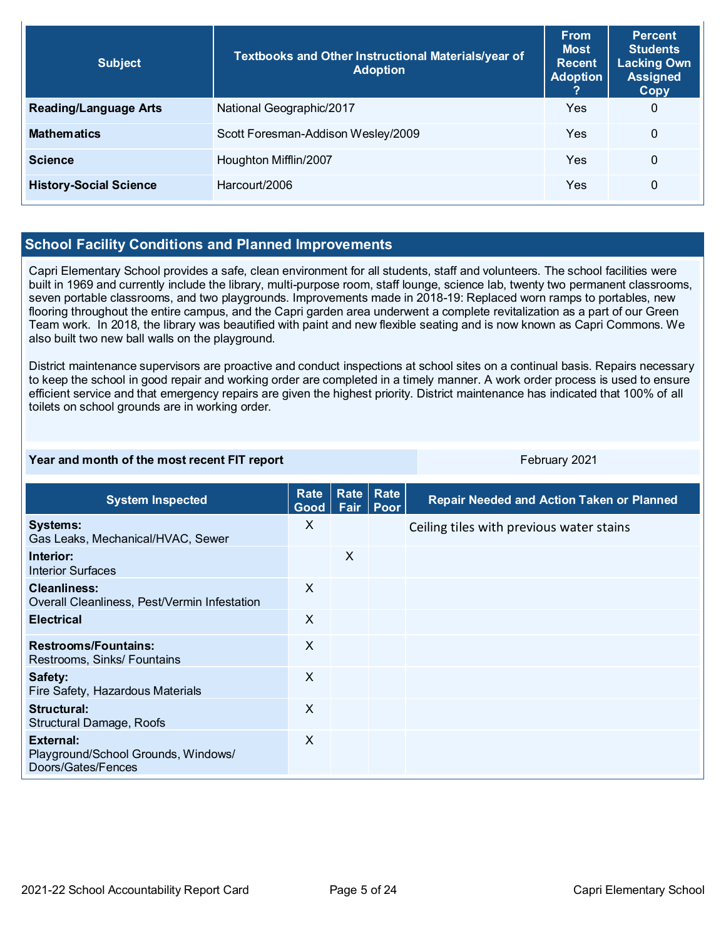| <b>Subject</b>                | Textbooks and Other Instructional Materials/year of<br><b>Adoption</b> | <b>From</b><br><b>Most</b><br><b>Recent</b><br><b>Adoption</b> | <b>Percent</b><br><b>Students</b><br><b>Lacking Own</b><br><b>Assigned</b><br>Copy |
|-------------------------------|------------------------------------------------------------------------|----------------------------------------------------------------|------------------------------------------------------------------------------------|
| <b>Reading/Language Arts</b>  | National Geographic/2017                                               | Yes                                                            | $\mathbf 0$                                                                        |
| <b>Mathematics</b>            | Scott Foresman-Addison Wesley/2009                                     | Yes                                                            | $\Omega$                                                                           |
| <b>Science</b>                | Houghton Mifflin/2007                                                  | Yes                                                            | $\Omega$                                                                           |
| <b>History-Social Science</b> | Harcourt/2006                                                          | Yes                                                            | 0                                                                                  |

## **School Facility Conditions and Planned Improvements**

Capri Elementary School provides a safe, clean environment for all students, staff and volunteers. The school facilities were built in 1969 and currently include the library, multi-purpose room, staff lounge, science lab, twenty two permanent classrooms, seven portable classrooms, and two playgrounds. Improvements made in 2018-19: Replaced worn ramps to portables, new flooring throughout the entire campus, and the Capri garden area underwent a complete revitalization as a part of our Green Team work. In 2018, the library was beautified with paint and new flexible seating and is now known as Capri Commons. We also built two new ball walls on the playground.

District maintenance supervisors are proactive and conduct inspections at school sites on a continual basis. Repairs necessary to keep the school in good repair and working order are completed in a timely manner. A work order process is used to ensure efficient service and that emergency repairs are given the highest priority. District maintenance has indicated that 100% of all toilets on school grounds are in working order.

#### **Year and month of the most recent FIT report** February 2021

| <b>System Inspected</b>                                                | <b>Rate</b><br>Good <sub>1</sub> | Rate <br>Fair | Rate<br>Poor | <b>Repair Needed and Action Taken or Planned</b> |
|------------------------------------------------------------------------|----------------------------------|---------------|--------------|--------------------------------------------------|
| <b>Systems:</b><br>Gas Leaks, Mechanical/HVAC, Sewer                   | X                                |               |              | Ceiling tiles with previous water stains         |
| Interior:<br><b>Interior Surfaces</b>                                  |                                  | X             |              |                                                  |
| <b>Cleanliness:</b><br>Overall Cleanliness, Pest/Vermin Infestation    | X                                |               |              |                                                  |
| <b>Electrical</b>                                                      | X                                |               |              |                                                  |
| <b>Restrooms/Fountains:</b><br>Restrooms, Sinks/ Fountains             | $\times$                         |               |              |                                                  |
| Safety:<br>Fire Safety, Hazardous Materials                            | $\times$                         |               |              |                                                  |
| Structural:<br><b>Structural Damage, Roofs</b>                         | $\times$                         |               |              |                                                  |
| External:<br>Playground/School Grounds, Windows/<br>Doors/Gates/Fences | $\times$                         |               |              |                                                  |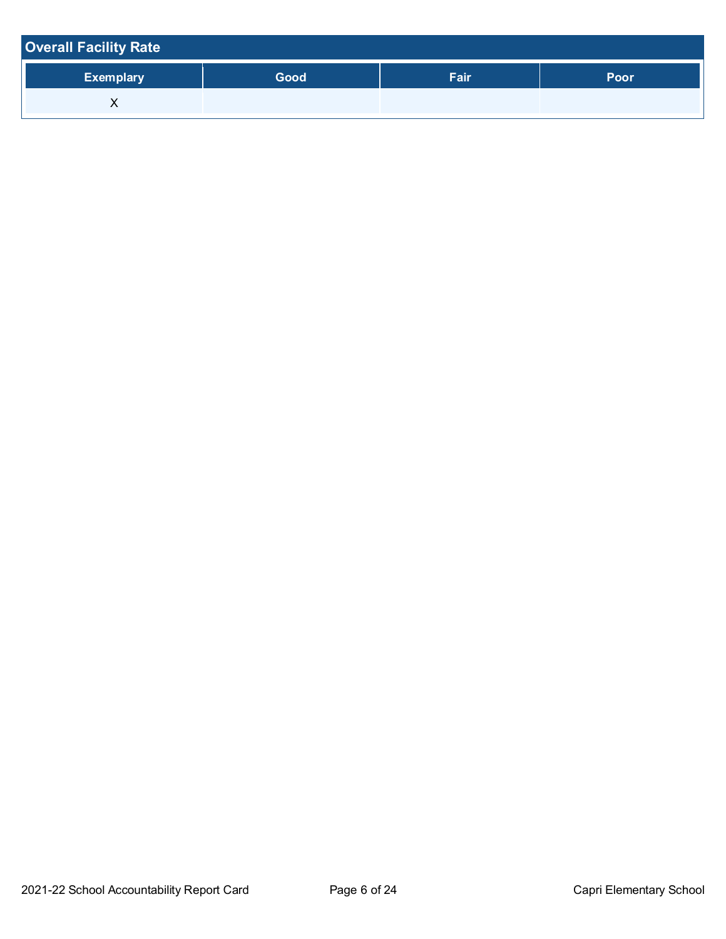| <b>Overall Facility Rate</b> |      |      |      |
|------------------------------|------|------|------|
| <b>Exemplary</b>             | Good | Fair | Poor |
| ⌒                            |      |      |      |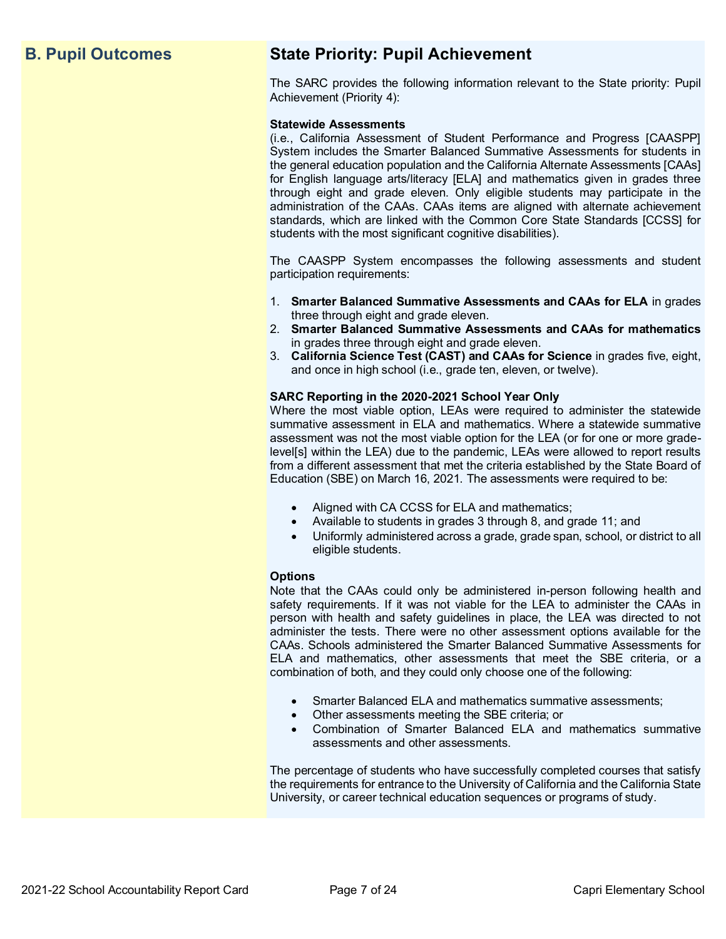## **B. Pupil Outcomes State Priority: Pupil Achievement**

The SARC provides the following information relevant to the State priority: Pupil Achievement (Priority 4):

#### **Statewide Assessments**

(i.e., California Assessment of Student Performance and Progress [CAASPP] System includes the Smarter Balanced Summative Assessments for students in the general education population and the California Alternate Assessments [CAAs] for English language arts/literacy [ELA] and mathematics given in grades three through eight and grade eleven. Only eligible students may participate in the administration of the CAAs. CAAs items are aligned with alternate achievement standards, which are linked with the Common Core State Standards [CCSS] for students with the most significant cognitive disabilities).

The CAASPP System encompasses the following assessments and student participation requirements:

- 1. **Smarter Balanced Summative Assessments and CAAs for ELA** in grades three through eight and grade eleven.
- 2. **Smarter Balanced Summative Assessments and CAAs for mathematics** in grades three through eight and grade eleven.
- 3. **California Science Test (CAST) and CAAs for Science** in grades five, eight, and once in high school (i.e., grade ten, eleven, or twelve).

#### **SARC Reporting in the 2020-2021 School Year Only**

Where the most viable option, LEAs were required to administer the statewide summative assessment in ELA and mathematics. Where a statewide summative assessment was not the most viable option for the LEA (or for one or more gradelevel[s] within the LEA) due to the pandemic, LEAs were allowed to report results from a different assessment that met the criteria established by the State Board of Education (SBE) on March 16, 2021. The assessments were required to be:

- Aligned with CA CCSS for ELA and mathematics;
- Available to students in grades 3 through 8, and grade 11; and
- Uniformly administered across a grade, grade span, school, or district to all eligible students.

#### **Options**

Note that the CAAs could only be administered in-person following health and safety requirements. If it was not viable for the LEA to administer the CAAs in person with health and safety guidelines in place, the LEA was directed to not administer the tests. There were no other assessment options available for the CAAs. Schools administered the Smarter Balanced Summative Assessments for ELA and mathematics, other assessments that meet the SBE criteria, or a combination of both, and they could only choose one of the following:

- Smarter Balanced ELA and mathematics summative assessments;
- Other assessments meeting the SBE criteria; or
- Combination of Smarter Balanced ELA and mathematics summative assessments and other assessments.

The percentage of students who have successfully completed courses that satisfy the requirements for entrance to the University of California and the California State University, or career technical education sequences or programs of study.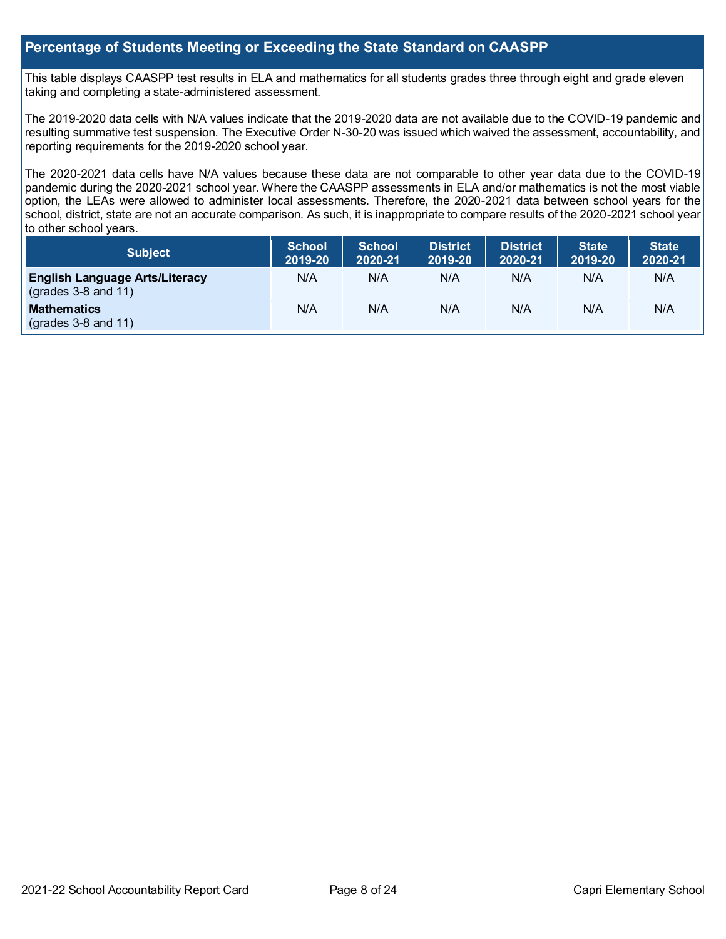## **Percentage of Students Meeting or Exceeding the State Standard on CAASPP**

This table displays CAASPP test results in ELA and mathematics for all students grades three through eight and grade eleven taking and completing a state-administered assessment.

The 2019-2020 data cells with N/A values indicate that the 2019-2020 data are not available due to the COVID-19 pandemic and resulting summative test suspension. The Executive Order N-30-20 was issued which waived the assessment, accountability, and reporting requirements for the 2019-2020 school year.

The 2020-2021 data cells have N/A values because these data are not comparable to other year data due to the COVID-19 pandemic during the 2020-2021 school year. Where the CAASPP assessments in ELA and/or mathematics is not the most viable option, the LEAs were allowed to administer local assessments. Therefore, the 2020-2021 data between school years for the school, district, state are not an accurate comparison. As such, it is inappropriate to compare results of the 2020-2021 school year to other school years.

| <b>Subject</b>                                                       | <b>School</b><br>2019-20 | <b>School</b><br>2020-21 | <b>District</b><br>2019-20 | <b>District</b><br>2020-21 | <b>State</b><br>2019-20 | State<br>2020-21 |
|----------------------------------------------------------------------|--------------------------|--------------------------|----------------------------|----------------------------|-------------------------|------------------|
| <b>English Language Arts/Literacy</b><br>$\left($ grades 3-8 and 11) | N/A                      | N/A                      | N/A                        | N/A                        | N/A                     | N/A              |
| <b>Mathematics</b><br>$(grades 3-8 and 11)$                          | N/A                      | N/A                      | N/A                        | N/A                        | N/A                     | N/A              |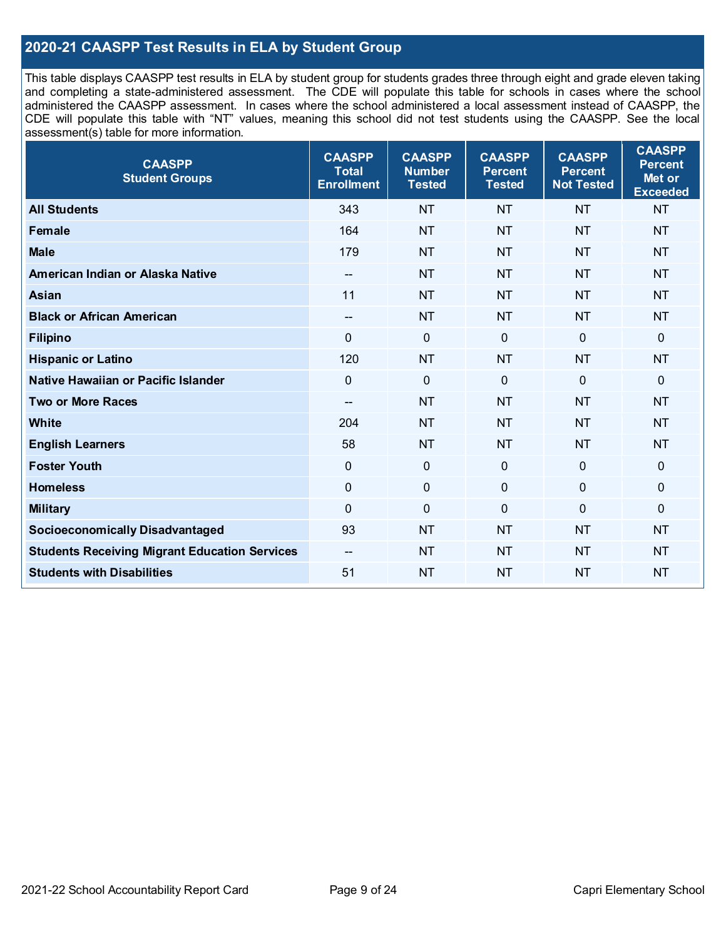## **2020-21 CAASPP Test Results in ELA by Student Group**

This table displays CAASPP test results in ELA by student group for students grades three through eight and grade eleven taking and completing a state-administered assessment. The CDE will populate this table for schools in cases where the school administered the CAASPP assessment. In cases where the school administered a local assessment instead of CAASPP, the CDE will populate this table with "NT" values, meaning this school did not test students using the CAASPP. See the local assessment(s) table for more information.

| <b>CAASPP</b><br><b>Student Groups</b>               | <b>CAASPP</b><br><b>Total</b><br><b>Enrollment</b> | <b>CAASPP</b><br><b>Number</b><br><b>Tested</b> | <b>CAASPP</b><br><b>Percent</b><br><b>Tested</b> | <b>CAASPP</b><br><b>Percent</b><br><b>Not Tested</b> | <b>CAASPP</b><br><b>Percent</b><br>Met or<br><b>Exceeded</b> |
|------------------------------------------------------|----------------------------------------------------|-------------------------------------------------|--------------------------------------------------|------------------------------------------------------|--------------------------------------------------------------|
| <b>All Students</b>                                  | 343                                                | <b>NT</b>                                       | <b>NT</b>                                        | <b>NT</b>                                            | <b>NT</b>                                                    |
| <b>Female</b>                                        | 164                                                | <b>NT</b>                                       | <b>NT</b>                                        | <b>NT</b>                                            | <b>NT</b>                                                    |
| <b>Male</b>                                          | 179                                                | <b>NT</b>                                       | <b>NT</b>                                        | <b>NT</b>                                            | <b>NT</b>                                                    |
| American Indian or Alaska Native                     | $- -$                                              | <b>NT</b>                                       | <b>NT</b>                                        | <b>NT</b>                                            | <b>NT</b>                                                    |
| <b>Asian</b>                                         | 11                                                 | <b>NT</b>                                       | <b>NT</b>                                        | <b>NT</b>                                            | <b>NT</b>                                                    |
| <b>Black or African American</b>                     | $-$                                                | <b>NT</b>                                       | <b>NT</b>                                        | <b>NT</b>                                            | <b>NT</b>                                                    |
| <b>Filipino</b>                                      | $\Omega$                                           | $\mathbf 0$                                     | $\mathbf{0}$                                     | $\mathbf 0$                                          | 0                                                            |
| <b>Hispanic or Latino</b>                            | 120                                                | <b>NT</b>                                       | <b>NT</b>                                        | <b>NT</b>                                            | <b>NT</b>                                                    |
| Native Hawaiian or Pacific Islander                  | $\mathbf 0$                                        | $\mathbf 0$                                     | $\mathbf 0$                                      | $\mathbf 0$                                          | 0                                                            |
| <b>Two or More Races</b>                             | $- -$                                              | <b>NT</b>                                       | <b>NT</b>                                        | <b>NT</b>                                            | <b>NT</b>                                                    |
| <b>White</b>                                         | 204                                                | <b>NT</b>                                       | <b>NT</b>                                        | <b>NT</b>                                            | <b>NT</b>                                                    |
| <b>English Learners</b>                              | 58                                                 | <b>NT</b>                                       | <b>NT</b>                                        | <b>NT</b>                                            | <b>NT</b>                                                    |
| <b>Foster Youth</b>                                  | 0                                                  | $\mathbf 0$                                     | $\mathbf 0$                                      | $\mathbf 0$                                          | $\mathbf 0$                                                  |
| <b>Homeless</b>                                      | $\pmb{0}$                                          | $\pmb{0}$                                       | $\pmb{0}$                                        | $\mathbf 0$                                          | 0                                                            |
| <b>Military</b>                                      | $\mathbf 0$                                        | $\pmb{0}$                                       | $\overline{0}$                                   | $\overline{0}$                                       | 0                                                            |
| <b>Socioeconomically Disadvantaged</b>               | 93                                                 | <b>NT</b>                                       | <b>NT</b>                                        | <b>NT</b>                                            | <b>NT</b>                                                    |
| <b>Students Receiving Migrant Education Services</b> | $\overline{\phantom{a}}$                           | <b>NT</b>                                       | <b>NT</b>                                        | <b>NT</b>                                            | <b>NT</b>                                                    |
| <b>Students with Disabilities</b>                    | 51                                                 | <b>NT</b>                                       | <b>NT</b>                                        | <b>NT</b>                                            | <b>NT</b>                                                    |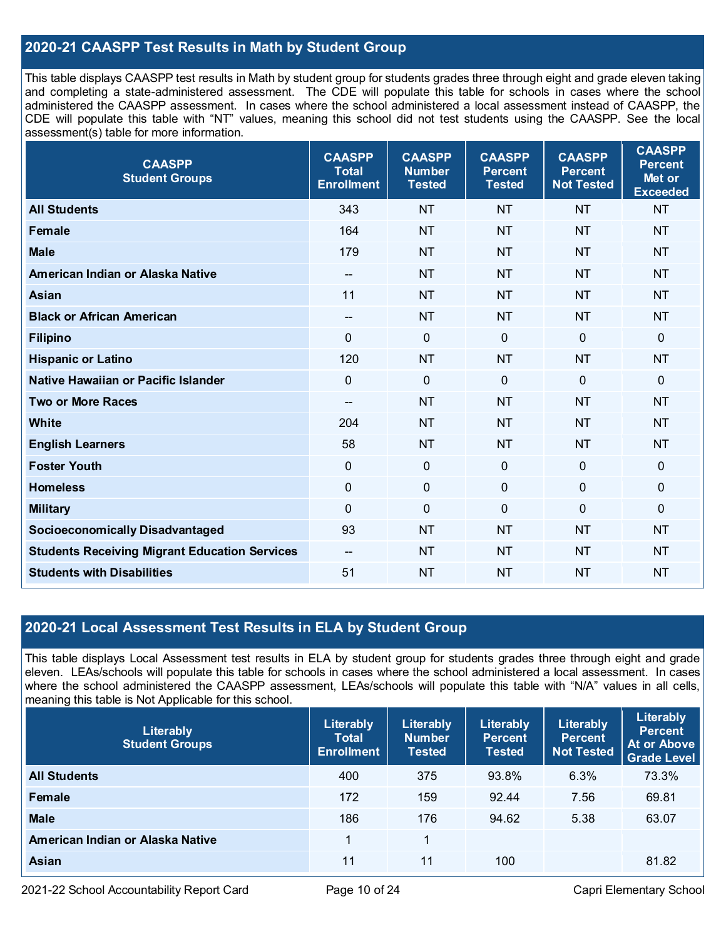## **2020-21 CAASPP Test Results in Math by Student Group**

This table displays CAASPP test results in Math by student group for students grades three through eight and grade eleven taking and completing a state-administered assessment. The CDE will populate this table for schools in cases where the school administered the CAASPP assessment. In cases where the school administered a local assessment instead of CAASPP, the CDE will populate this table with "NT" values, meaning this school did not test students using the CAASPP. See the local assessment(s) table for more information.

| <b>CAASPP</b><br><b>Student Groups</b>               | <b>CAASPP</b><br><b>Total</b><br><b>Enrollment</b> | <b>CAASPP</b><br><b>Number</b><br><b>Tested</b> | <b>CAASPP</b><br><b>Percent</b><br><b>Tested</b> | <b>CAASPP</b><br><b>Percent</b><br><b>Not Tested</b> | <b>CAASPP</b><br><b>Percent</b><br>Met or<br><b>Exceeded</b> |
|------------------------------------------------------|----------------------------------------------------|-------------------------------------------------|--------------------------------------------------|------------------------------------------------------|--------------------------------------------------------------|
| <b>All Students</b>                                  | 343                                                | <b>NT</b>                                       | <b>NT</b>                                        | <b>NT</b>                                            | <b>NT</b>                                                    |
| <b>Female</b>                                        | 164                                                | <b>NT</b>                                       | <b>NT</b>                                        | <b>NT</b>                                            | <b>NT</b>                                                    |
| <b>Male</b>                                          | 179                                                | <b>NT</b>                                       | <b>NT</b>                                        | <b>NT</b>                                            | <b>NT</b>                                                    |
| American Indian or Alaska Native                     | $\overline{\phantom{a}}$                           | <b>NT</b>                                       | <b>NT</b>                                        | <b>NT</b>                                            | <b>NT</b>                                                    |
| Asian                                                | 11                                                 | <b>NT</b>                                       | <b>NT</b>                                        | <b>NT</b>                                            | <b>NT</b>                                                    |
| <b>Black or African American</b>                     | $\hspace{0.05cm}$ – $\hspace{0.05cm}$              | <b>NT</b>                                       | <b>NT</b>                                        | <b>NT</b>                                            | <b>NT</b>                                                    |
| <b>Filipino</b>                                      | $\overline{0}$                                     | $\mathbf 0$                                     | $\mathbf 0$                                      | $\mathbf 0$                                          | $\mathbf 0$                                                  |
| <b>Hispanic or Latino</b>                            | 120                                                | <b>NT</b>                                       | <b>NT</b>                                        | <b>NT</b>                                            | <b>NT</b>                                                    |
| Native Hawaiian or Pacific Islander                  | $\overline{0}$                                     | $\mathbf 0$                                     | $\mathbf 0$                                      | $\mathbf 0$                                          | $\mathbf 0$                                                  |
| <b>Two or More Races</b>                             | $-$                                                | <b>NT</b>                                       | <b>NT</b>                                        | <b>NT</b>                                            | <b>NT</b>                                                    |
| <b>White</b>                                         | 204                                                | <b>NT</b>                                       | <b>NT</b>                                        | <b>NT</b>                                            | <b>NT</b>                                                    |
| <b>English Learners</b>                              | 58                                                 | <b>NT</b>                                       | <b>NT</b>                                        | <b>NT</b>                                            | <b>NT</b>                                                    |
| <b>Foster Youth</b>                                  | $\mathbf 0$                                        | $\mathbf 0$                                     | $\mathbf 0$                                      | $\mathbf 0$                                          | $\mathbf 0$                                                  |
| <b>Homeless</b>                                      | $\mathbf 0$                                        | $\mathbf 0$                                     | $\mathbf 0$                                      | 0                                                    | $\pmb{0}$                                                    |
| <b>Military</b>                                      | $\mathbf 0$                                        | $\pmb{0}$                                       | $\mathbf 0$                                      | 0                                                    | $\mathbf 0$                                                  |
| <b>Socioeconomically Disadvantaged</b>               | 93                                                 | <b>NT</b>                                       | <b>NT</b>                                        | <b>NT</b>                                            | <b>NT</b>                                                    |
| <b>Students Receiving Migrant Education Services</b> | $-$                                                | <b>NT</b>                                       | <b>NT</b>                                        | <b>NT</b>                                            | <b>NT</b>                                                    |
| <b>Students with Disabilities</b>                    | 51                                                 | <b>NT</b>                                       | <b>NT</b>                                        | <b>NT</b>                                            | <b>NT</b>                                                    |

## **2020-21 Local Assessment Test Results in ELA by Student Group**

This table displays Local Assessment test results in ELA by student group for students grades three through eight and grade eleven. LEAs/schools will populate this table for schools in cases where the school administered a local assessment. In cases where the school administered the CAASPP assessment, LEAs/schools will populate this table with "N/A" values in all cells, meaning this table is Not Applicable for this school.

| Literably<br><b>Student Groups</b> | Literably<br><b>Total</b><br><b>Enrollment</b> | Literably<br><b>Number</b><br><b>Tested</b> | Literably<br><b>Percent</b><br><b>Tested</b> | Literably<br><b>Percent</b><br><b>Not Tested</b> | Literably<br><b>Percent</b><br>At or Above<br><b>Grade Level</b> |
|------------------------------------|------------------------------------------------|---------------------------------------------|----------------------------------------------|--------------------------------------------------|------------------------------------------------------------------|
| <b>All Students</b>                | 400                                            | 375                                         | 93.8%                                        | 6.3%                                             | 73.3%                                                            |
| Female                             | 172                                            | 159                                         | 92.44                                        | 7.56                                             | 69.81                                                            |
| <b>Male</b>                        | 186                                            | 176                                         | 94.62                                        | 5.38                                             | 63.07                                                            |
| American Indian or Alaska Native   |                                                | 1                                           |                                              |                                                  |                                                                  |
| <b>Asian</b>                       | 11                                             | 11                                          | 100                                          |                                                  | 81.82                                                            |

2021-22 School Accountability Report Card Page 10 of 24 Capri Elementary School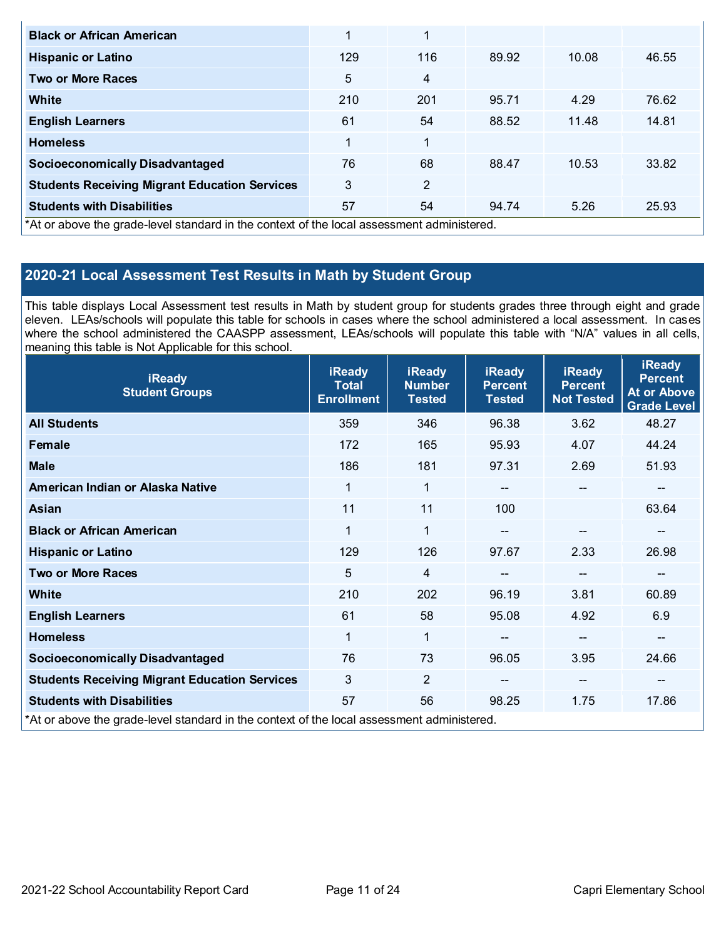| <b>Black or African American</b>                                                           | 1   | 1              |       |       |       |
|--------------------------------------------------------------------------------------------|-----|----------------|-------|-------|-------|
| <b>Hispanic or Latino</b>                                                                  | 129 | 116            | 89.92 | 10.08 | 46.55 |
| <b>Two or More Races</b>                                                                   | 5   | 4              |       |       |       |
| White                                                                                      | 210 | 201            | 95.71 | 4.29  | 76.62 |
| <b>English Learners</b>                                                                    | 61  | 54             | 88.52 | 11.48 | 14.81 |
| <b>Homeless</b>                                                                            | 1   | 1              |       |       |       |
| <b>Socioeconomically Disadvantaged</b>                                                     | 76  | 68             | 88.47 | 10.53 | 33.82 |
| <b>Students Receiving Migrant Education Services</b>                                       | 3   | $\overline{2}$ |       |       |       |
| <b>Students with Disabilities</b>                                                          | 57  | 54             | 94.74 | 5.26  | 25.93 |
| *At or above the grade-level standard in the context of the local assessment administered. |     |                |       |       |       |

## **2020-21 Local Assessment Test Results in Math by Student Group**

This table displays Local Assessment test results in Math by student group for students grades three through eight and grade eleven. LEAs/schools will populate this table for schools in cases where the school administered a local assessment. In cases where the school administered the CAASPP assessment, LEAs/schools will populate this table with "N/A" values in all cells, meaning this table is Not Applicable for this school.

| <b>iReady</b><br><b>Student Groups</b>                                                     | <b>iReady</b><br><b>Total</b><br><b>Enrollment</b> | <b>iReady</b><br><b>Number</b><br><b>Tested</b> | <b>iReady</b><br><b>Percent</b><br><b>Tested</b> | <b>iReady</b><br><b>Percent</b><br><b>Not Tested</b> | <b>iReady</b><br><b>Percent</b><br><b>At or Above</b><br><b>Grade Level</b> |
|--------------------------------------------------------------------------------------------|----------------------------------------------------|-------------------------------------------------|--------------------------------------------------|------------------------------------------------------|-----------------------------------------------------------------------------|
| <b>All Students</b>                                                                        | 359                                                | 346                                             | 96.38                                            | 3.62                                                 | 48.27                                                                       |
| Female                                                                                     | 172                                                | 165                                             | 95.93                                            | 4.07                                                 | 44.24                                                                       |
| <b>Male</b>                                                                                | 186                                                | 181                                             | 97.31                                            | 2.69                                                 | 51.93                                                                       |
| American Indian or Alaska Native                                                           | 1                                                  | $\mathbf{1}$                                    | $\qquad \qquad -$                                | $\hspace{0.05cm}$ – $\hspace{0.05cm}$                | $\overline{\phantom{m}}$                                                    |
| <b>Asian</b>                                                                               | 11                                                 | 11                                              | 100                                              |                                                      | 63.64                                                                       |
| <b>Black or African American</b>                                                           | $\mathbf 1$                                        | 1                                               |                                                  |                                                      | --                                                                          |
| <b>Hispanic or Latino</b>                                                                  | 129                                                | 126                                             | 97.67                                            | 2.33                                                 | 26.98                                                                       |
| <b>Two or More Races</b>                                                                   | 5                                                  | 4                                               |                                                  | $\qquad \qquad -$                                    | --                                                                          |
| <b>White</b>                                                                               | 210                                                | 202                                             | 96.19                                            | 3.81                                                 | 60.89                                                                       |
| <b>English Learners</b>                                                                    | 61                                                 | 58                                              | 95.08                                            | 4.92                                                 | 6.9                                                                         |
| <b>Homeless</b>                                                                            | 1                                                  | 1                                               | --                                               | $\qquad \qquad -$                                    | --                                                                          |
| <b>Socioeconomically Disadvantaged</b>                                                     | 76                                                 | 73                                              | 96.05                                            | 3.95                                                 | 24.66                                                                       |
| <b>Students Receiving Migrant Education Services</b>                                       | 3                                                  | $\overline{2}$                                  |                                                  | $\hspace{0.05cm}$ – $\hspace{0.05cm}$                | --                                                                          |
| <b>Students with Disabilities</b>                                                          | 57                                                 | 56                                              | 98.25                                            | 1.75                                                 | 17.86                                                                       |
| *At or above the grade-level standard in the context of the local assessment administered. |                                                    |                                                 |                                                  |                                                      |                                                                             |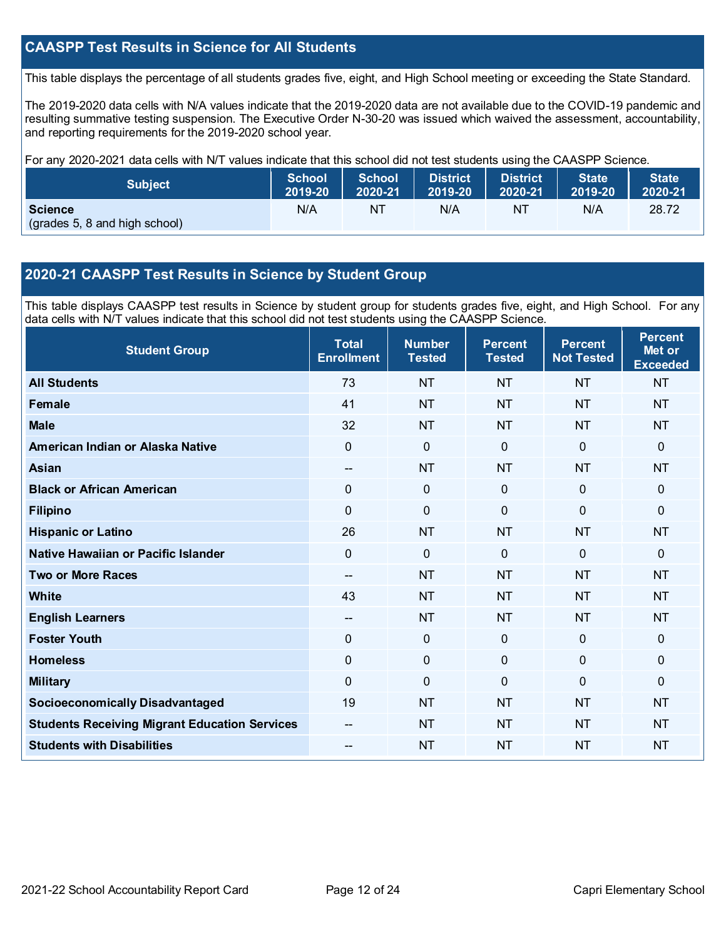## **CAASPP Test Results in Science for All Students**

This table displays the percentage of all students grades five, eight, and High School meeting or exceeding the State Standard.

The 2019-2020 data cells with N/A values indicate that the 2019-2020 data are not available due to the COVID-19 pandemic and resulting summative testing suspension. The Executive Order N-30-20 was issued which waived the assessment, accountability, and reporting requirements for the 2019-2020 school year.

For any 2020-2021 data cells with N/T values indicate that this school did not test students using the CAASPP Science.

| <b>Subject</b>                                  | <b>School</b> | <b>School</b> | <b>District</b> | <b>District</b> | <b>State</b> | <b>State</b> |
|-------------------------------------------------|---------------|---------------|-----------------|-----------------|--------------|--------------|
|                                                 | 2019-20       | 2020-21       | 2019-20         | 2020-21         | 2019-20      | 2020-21      |
| <b>Science</b><br>(grades 5, 8 and high school) | N/A           | NT            | N/A             | NT              | N/A          | 28.72        |

## **2020-21 CAASPP Test Results in Science by Student Group**

This table displays CAASPP test results in Science by student group for students grades five, eight, and High School. For any data cells with N/T values indicate that this school did not test students using the CAASPP Science.

| <b>Student Group</b>                                 | <b>Total</b><br><b>Enrollment</b> | <b>Number</b><br><b>Tested</b> | <b>Percent</b><br><b>Tested</b> | <b>Percent</b><br><b>Not Tested</b> | <b>Percent</b><br>Met or<br><b>Exceeded</b> |
|------------------------------------------------------|-----------------------------------|--------------------------------|---------------------------------|-------------------------------------|---------------------------------------------|
| <b>All Students</b>                                  | 73                                | <b>NT</b>                      | <b>NT</b>                       | <b>NT</b>                           | <b>NT</b>                                   |
| <b>Female</b>                                        | 41                                | <b>NT</b>                      | <b>NT</b>                       | <b>NT</b>                           | <b>NT</b>                                   |
| <b>Male</b>                                          | 32                                | <b>NT</b>                      | <b>NT</b>                       | <b>NT</b>                           | <b>NT</b>                                   |
| American Indian or Alaska Native                     | 0                                 | $\mathbf 0$                    | $\mathbf 0$                     | $\overline{0}$                      | 0                                           |
| <b>Asian</b>                                         | $-$                               | <b>NT</b>                      | <b>NT</b>                       | <b>NT</b>                           | <b>NT</b>                                   |
| <b>Black or African American</b>                     | 0                                 | $\pmb{0}$                      | $\mathbf 0$                     | $\overline{0}$                      | 0                                           |
| <b>Filipino</b>                                      | 0                                 | $\mathbf 0$                    | $\mathbf{0}$                    | 0                                   | 0                                           |
| <b>Hispanic or Latino</b>                            | 26                                | <b>NT</b>                      | <b>NT</b>                       | <b>NT</b>                           | <b>NT</b>                                   |
| Native Hawaiian or Pacific Islander                  | $\overline{0}$                    | $\mathbf 0$                    | $\mathbf{0}$                    | $\Omega$                            | 0                                           |
| <b>Two or More Races</b>                             | --                                | <b>NT</b>                      | <b>NT</b>                       | <b>NT</b>                           | <b>NT</b>                                   |
| <b>White</b>                                         | 43                                | <b>NT</b>                      | <b>NT</b>                       | <b>NT</b>                           | <b>NT</b>                                   |
| <b>English Learners</b>                              | --                                | <b>NT</b>                      | <b>NT</b>                       | <b>NT</b>                           | <b>NT</b>                                   |
| <b>Foster Youth</b>                                  | 0                                 | $\mathbf 0$                    | $\mathbf 0$                     | $\mathbf 0$                         | 0                                           |
| <b>Homeless</b>                                      | 0                                 | $\pmb{0}$                      | $\mathbf 0$                     | 0                                   | 0                                           |
| <b>Military</b>                                      | 0                                 | $\mathbf 0$                    | $\Omega$                        | 0                                   | 0                                           |
| <b>Socioeconomically Disadvantaged</b>               | 19                                | <b>NT</b>                      | <b>NT</b>                       | <b>NT</b>                           | <b>NT</b>                                   |
| <b>Students Receiving Migrant Education Services</b> |                                   | <b>NT</b>                      | <b>NT</b>                       | <b>NT</b>                           | <b>NT</b>                                   |
| <b>Students with Disabilities</b>                    | $-$                               | <b>NT</b>                      | <b>NT</b>                       | <b>NT</b>                           | <b>NT</b>                                   |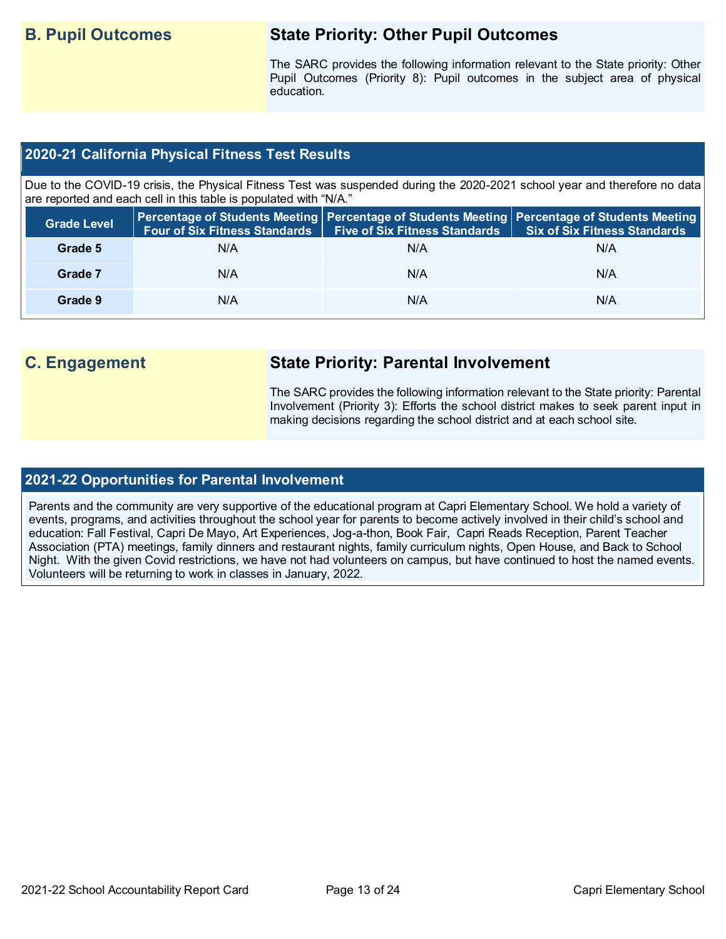## **B. Pupil Outcomes State Priority: Other Pupil Outcomes**

The SARC provides the following information relevant to the State priority: Other Pupil Outcomes (Priority 8): Pupil outcomes in the subject area of physical education.

## **2020-21 California Physical Fitness Test Results**

Due to the COVID-19 crisis, the Physical Fitness Test was suspended during the 2020-2021 school year and therefore no data are reported and each cell in this table is populated with "N/A."

| <b>Grade Level</b> | <b>Four of Six Fitness Standards</b> | Five of Six Fitness Standards   Six of Six Fitness Standards | Percentage of Students Meeting Percentage of Students Meeting Percentage of Students Meeting |
|--------------------|--------------------------------------|--------------------------------------------------------------|----------------------------------------------------------------------------------------------|
| Grade 5            | N/A                                  | N/A                                                          | N/A                                                                                          |
| Grade 7            | N/A                                  | N/A                                                          | N/A                                                                                          |
| Grade 9            | N/A                                  | N/A                                                          | N/A                                                                                          |

## **C. Engagement State Priority: Parental Involvement**

The SARC provides the following information relevant to the State priority: Parental Involvement (Priority 3): Efforts the school district makes to seek parent input in making decisions regarding the school district and at each school site.

## **2021-22 Opportunities for Parental Involvement**

Parents and the community are very supportive of the educational program at Capri Elementary School. We hold a variety of events, programs, and activities throughout the school year for parents to become actively involved in their child's school and education: Fall Festival, Capri De Mayo, Art Experiences, Jog-a-thon, Book Fair, Capri Reads Reception, Parent Teacher Association (PTA) meetings, family dinners and restaurant nights, family curriculum nights, Open House, and Back to School Night. With the given Covid restrictions, we have not had volunteers on campus, but have continued to host the named events. Volunteers will be returning to work in classes in January, 2022.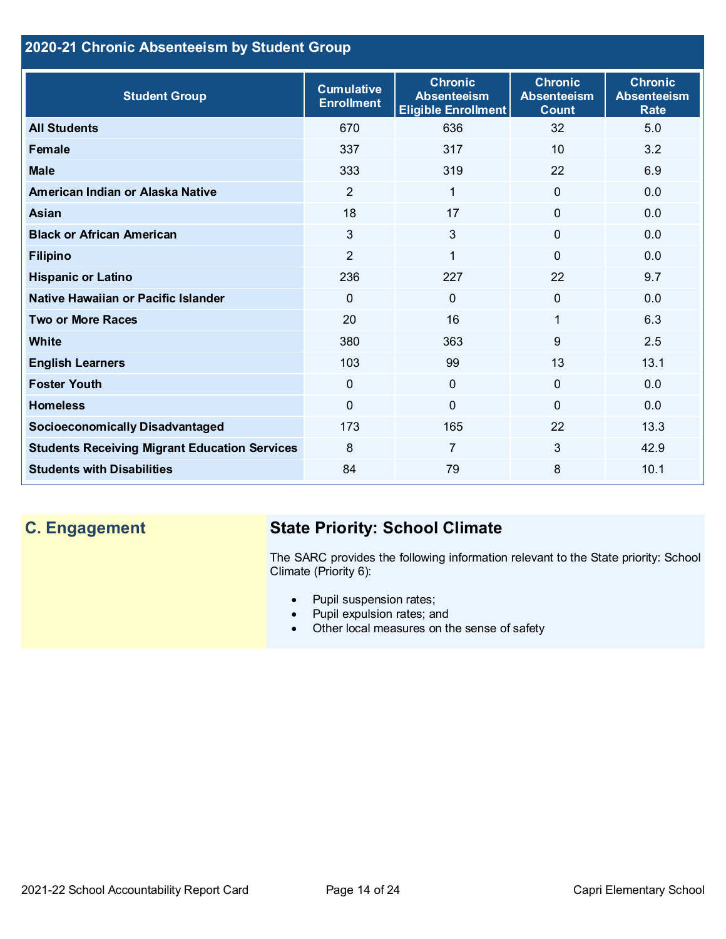## **2020-21 Chronic Absenteeism by Student Group**

| <b>Student Group</b>                                 | <b>Cumulative</b><br><b>Enrollment</b> | <b>Chronic</b><br><b>Absenteeism</b><br><b>Eligible Enrollment</b> | <b>Chronic</b><br><b>Absenteeism</b><br><b>Count</b> | <b>Chronic</b><br><b>Absenteeism</b><br><b>Rate</b> |
|------------------------------------------------------|----------------------------------------|--------------------------------------------------------------------|------------------------------------------------------|-----------------------------------------------------|
| <b>All Students</b>                                  | 670                                    | 636                                                                | 32                                                   | 5.0                                                 |
| <b>Female</b>                                        | 337                                    | 317                                                                | 10                                                   | 3.2                                                 |
| <b>Male</b>                                          | 333                                    | 319                                                                | 22                                                   | 6.9                                                 |
| American Indian or Alaska Native                     | $\overline{2}$                         | $\mathbf{1}$                                                       | $\Omega$                                             | 0.0                                                 |
| <b>Asian</b>                                         | 18                                     | 17                                                                 | $\overline{0}$                                       | 0.0                                                 |
| <b>Black or African American</b>                     | 3                                      | $\mathfrak{S}$                                                     | 0                                                    | 0.0                                                 |
| <b>Filipino</b>                                      | $\overline{2}$                         | 1                                                                  | $\Omega$                                             | 0.0                                                 |
| <b>Hispanic or Latino</b>                            | 236                                    | 227                                                                | 22                                                   | 9.7                                                 |
| Native Hawaiian or Pacific Islander                  | $\mathbf{0}$                           | $\mathbf 0$                                                        | $\Omega$                                             | 0.0                                                 |
| <b>Two or More Races</b>                             | 20                                     | 16                                                                 | 1                                                    | 6.3                                                 |
| White                                                | 380                                    | 363                                                                | 9                                                    | 2.5                                                 |
| <b>English Learners</b>                              | 103                                    | 99                                                                 | 13                                                   | 13.1                                                |
| <b>Foster Youth</b>                                  | $\mathbf{0}$                           | $\overline{0}$                                                     | $\Omega$                                             | 0.0                                                 |
| <b>Homeless</b>                                      | $\mathbf{0}$                           | $\overline{0}$                                                     | 0                                                    | 0.0                                                 |
| <b>Socioeconomically Disadvantaged</b>               | 173                                    | 165                                                                | 22                                                   | 13.3                                                |
| <b>Students Receiving Migrant Education Services</b> | 8                                      | 7                                                                  | 3                                                    | 42.9                                                |
| <b>Students with Disabilities</b>                    | 84                                     | 79                                                                 | 8                                                    | 10.1                                                |

## **C. Engagement State Priority: School Climate**

The SARC provides the following information relevant to the State priority: School Climate (Priority 6):

- Pupil suspension rates;
- Pupil expulsion rates; and
- Other local measures on the sense of safety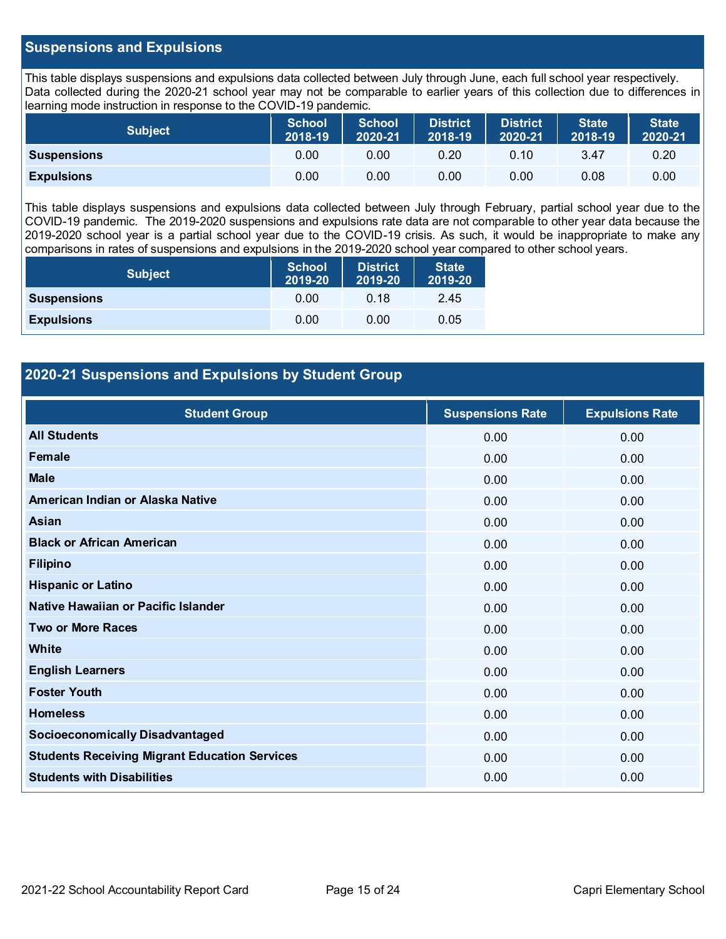## **Suspensions and Expulsions**

This table displays suspensions and expulsions data collected between July through June, each full school year respectively. Data collected during the 2020-21 school year may not be comparable to earlier years of this collection due to differences in learning mode instruction in response to the COVID-19 pandemic.

| Subject            | School<br>2018-19 | <b>School</b><br>2020-21 | <b>District</b><br>2018-19 | District<br>2020-21 | <b>State</b><br>2018-19 | <b>State</b><br>2020-21 |
|--------------------|-------------------|--------------------------|----------------------------|---------------------|-------------------------|-------------------------|
| <b>Suspensions</b> | 0.00              | 0.00                     | 0.20                       | 0.10                | 3.47                    | 0.20                    |
| <b>Expulsions</b>  | 0.00              | 0.00                     | 0.00                       | 0.00                | 0.08                    | 0.00                    |

This table displays suspensions and expulsions data collected between July through February, partial school year due to the COVID-19 pandemic. The 2019-2020 suspensions and expulsions rate data are not comparable to other year data because the 2019-2020 school year is a partial school year due to the COVID-19 crisis. As such, it would be inappropriate to make any comparisons in rates of suspensions and expulsions in the 2019-2020 school year compared to other school years.

| <b>Subject</b>     | <b>School</b><br>2019-20 | <b>District</b><br>2019-20 | <b>State</b><br>2019-20 |
|--------------------|--------------------------|----------------------------|-------------------------|
| <b>Suspensions</b> | 0.00                     | 0.18                       | 2.45                    |
| <b>Expulsions</b>  | 0.00                     | 0.00                       | 0.05                    |

## **2020-21 Suspensions and Expulsions by Student Group**

| <b>Student Group</b>                                 | <b>Suspensions Rate</b> | <b>Expulsions Rate</b> |
|------------------------------------------------------|-------------------------|------------------------|
| <b>All Students</b>                                  | 0.00                    | 0.00                   |
| Female                                               | 0.00                    | 0.00                   |
| <b>Male</b>                                          | 0.00                    | 0.00                   |
| American Indian or Alaska Native                     | 0.00                    | 0.00                   |
| Asian                                                | 0.00                    | 0.00                   |
| <b>Black or African American</b>                     | 0.00                    | 0.00                   |
| <b>Filipino</b>                                      | 0.00                    | 0.00                   |
| <b>Hispanic or Latino</b>                            | 0.00                    | 0.00                   |
| Native Hawaiian or Pacific Islander                  | 0.00                    | 0.00                   |
| <b>Two or More Races</b>                             | 0.00                    | 0.00                   |
| <b>White</b>                                         | 0.00                    | 0.00                   |
| <b>English Learners</b>                              | 0.00                    | 0.00                   |
| <b>Foster Youth</b>                                  | 0.00                    | 0.00                   |
| <b>Homeless</b>                                      | 0.00                    | 0.00                   |
| <b>Socioeconomically Disadvantaged</b>               | 0.00                    | 0.00                   |
| <b>Students Receiving Migrant Education Services</b> | 0.00                    | 0.00                   |
| <b>Students with Disabilities</b>                    | 0.00                    | 0.00                   |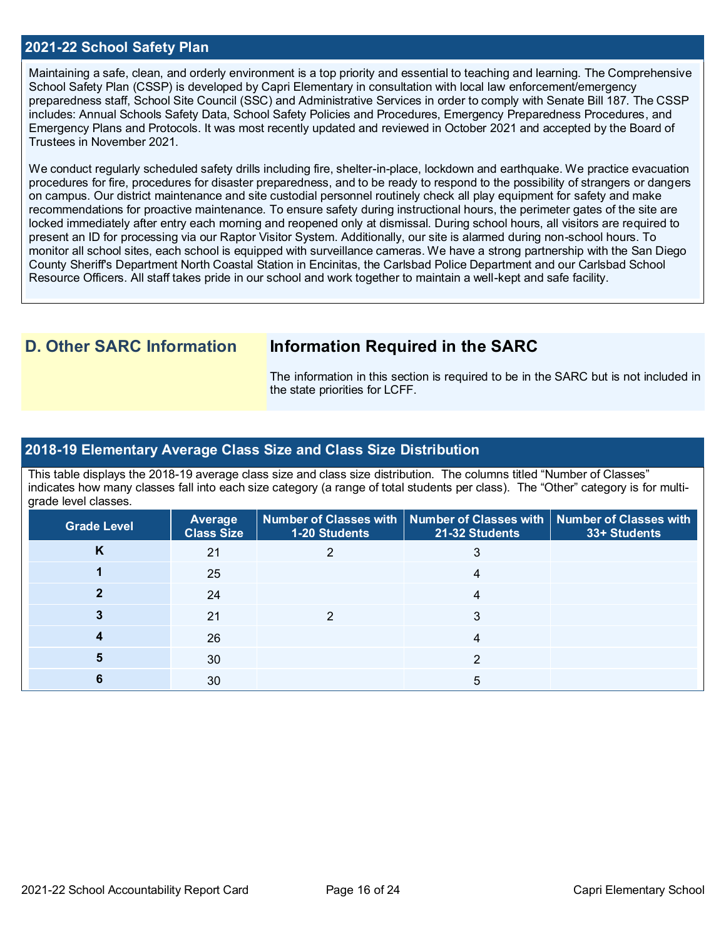### **2021-22 School Safety Plan**

Maintaining a safe, clean, and orderly environment is a top priority and essential to teaching and learning. The Comprehensive School Safety Plan (CSSP) is developed by Capri Elementary in consultation with local law enforcement/emergency preparedness staff, School Site Council (SSC) and Administrative Services in order to comply with Senate Bill 187. The CSSP includes: Annual Schools Safety Data, School Safety Policies and Procedures, Emergency Preparedness Procedures, and Emergency Plans and Protocols. It was most recently updated and reviewed in October 2021 and accepted by the Board of Trustees in November 2021.

We conduct regularly scheduled safety drills including fire, shelter-in-place, lockdown and earthquake. We practice evacuation procedures for fire, procedures for disaster preparedness, and to be ready to respond to the possibility of strangers or dangers on campus. Our district maintenance and site custodial personnel routinely check all play equipment for safety and make recommendations for proactive maintenance. To ensure safety during instructional hours, the perimeter gates of the site are locked immediately after entry each morning and reopened only at dismissal. During school hours, all visitors are required to present an ID for processing via our Raptor Visitor System. Additionally, our site is alarmed during non-school hours. To monitor all school sites, each school is equipped with surveillance cameras. We have a strong partnership with the San Diego County Sheriff's Department North Coastal Station in Encinitas, the Carlsbad Police Department and our Carlsbad School Resource Officers. All staff takes pride in our school and work together to maintain a well-kept and safe facility.

## **D. Other SARC Information Information Required in the SARC**

The information in this section is required to be in the SARC but is not included in the state priorities for LCFF.

### **2018-19 Elementary Average Class Size and Class Size Distribution**

This table displays the 2018-19 average class size and class size distribution. The columns titled "Number of Classes" indicates how many classes fall into each size category (a range of total students per class). The "Other" category is for multigrade level classes.

| <b>Grade Level</b> | Average<br><b>Class Size</b> | 1-20 Students | Number of Classes with   Number of Classes with   Number of Classes with<br>21-32 Students | 33+ Students |
|--------------------|------------------------------|---------------|--------------------------------------------------------------------------------------------|--------------|
| κ                  | 21                           |               |                                                                                            |              |
|                    | 25                           |               |                                                                                            |              |
|                    | 24                           |               |                                                                                            |              |
|                    | 21                           |               |                                                                                            |              |
|                    | 26                           |               |                                                                                            |              |
|                    | 30                           |               |                                                                                            |              |
|                    | 30                           |               |                                                                                            |              |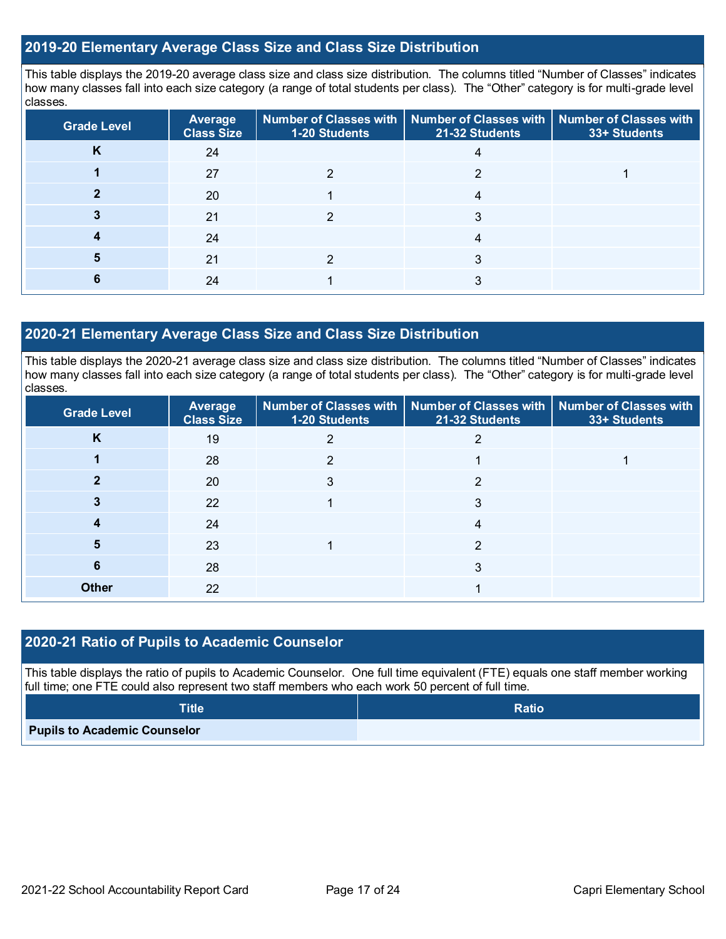### **2019-20 Elementary Average Class Size and Class Size Distribution**

This table displays the 2019-20 average class size and class size distribution. The columns titled "Number of Classes" indicates how many classes fall into each size category (a range of total students per class). The "Other" category is for multi-grade level classes.

| <b>Grade Level</b> | <b>Average</b><br><b>Class Size</b> | 1-20 Students | Number of Classes with   Number of Classes with   Number of Classes with<br>21-32 Students | 33+ Students |
|--------------------|-------------------------------------|---------------|--------------------------------------------------------------------------------------------|--------------|
|                    | 24                                  |               |                                                                                            |              |
|                    | 27                                  |               | ⌒                                                                                          |              |
|                    | 20                                  |               |                                                                                            |              |
|                    | 21                                  |               |                                                                                            |              |
|                    | 24                                  |               | 4                                                                                          |              |
|                    | 21                                  |               |                                                                                            |              |
|                    | 24                                  |               |                                                                                            |              |

## **2020-21 Elementary Average Class Size and Class Size Distribution**

This table displays the 2020-21 average class size and class size distribution. The columns titled "Number of Classes" indicates how many classes fall into each size category (a range of total students per class). The "Other" category is for multi-grade level classes.

| <b>Grade Level</b> | <b>Average</b><br><b>Class Size</b> | 1-20 Students | Number of Classes with   Number of Classes with   Number of Classes with<br>21-32 Students | 33+ Students |
|--------------------|-------------------------------------|---------------|--------------------------------------------------------------------------------------------|--------------|
| K                  | 19                                  |               |                                                                                            |              |
|                    | 28                                  | າ             |                                                                                            |              |
|                    | 20                                  |               | റ                                                                                          |              |
|                    | 22                                  |               | 3                                                                                          |              |
|                    | 24                                  |               |                                                                                            |              |
| 5                  | 23                                  |               | 2                                                                                          |              |
| 6                  | 28                                  |               | 3                                                                                          |              |
| <b>Other</b>       | 22                                  |               |                                                                                            |              |

## **2020-21 Ratio of Pupils to Academic Counselor**

This table displays the ratio of pupils to Academic Counselor. One full time equivalent (FTE) equals one staff member working full time; one FTE could also represent two staff members who each work 50 percent of full time.

| $\textsf{Title}^{\intercal}$        | <b>Ratio</b> |
|-------------------------------------|--------------|
| <b>Pupils to Academic Counselor</b> |              |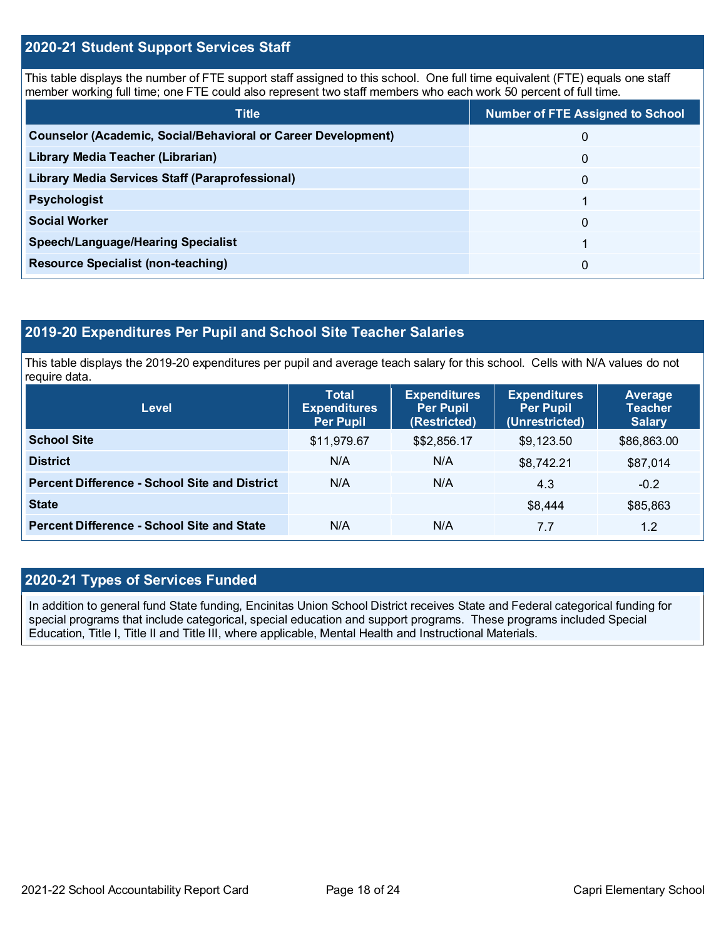## **2020-21 Student Support Services Staff**

This table displays the number of FTE support staff assigned to this school. One full time equivalent (FTE) equals one staff member working full time; one FTE could also represent two staff members who each work 50 percent of full time.

| <b>Title</b>                                                  | <b>Number of FTE Assigned to School</b> |
|---------------------------------------------------------------|-----------------------------------------|
| Counselor (Academic, Social/Behavioral or Career Development) | 0                                       |
| Library Media Teacher (Librarian)                             | 0                                       |
| Library Media Services Staff (Paraprofessional)               | 0                                       |
| <b>Psychologist</b>                                           |                                         |
| <b>Social Worker</b>                                          | $\Omega$                                |
| Speech/Language/Hearing Specialist                            |                                         |
| <b>Resource Specialist (non-teaching)</b>                     | 0                                       |

## **2019-20 Expenditures Per Pupil and School Site Teacher Salaries**

This table displays the 2019-20 expenditures per pupil and average teach salary for this school. Cells with N/A values do not require data.

| <b>Level</b>                                         | <b>Total</b><br><b>Expenditures</b><br><b>Per Pupil</b> | <b>Expenditures</b><br><b>Per Pupil</b><br>(Restricted) | <b>Expenditures</b><br><b>Per Pupil</b><br>(Unrestricted) | Average<br><b>Teacher</b><br><b>Salary</b> |
|------------------------------------------------------|---------------------------------------------------------|---------------------------------------------------------|-----------------------------------------------------------|--------------------------------------------|
| <b>School Site</b>                                   | \$11,979.67                                             | \$\$2,856.17                                            | \$9,123.50                                                | \$86,863.00                                |
| <b>District</b>                                      | N/A                                                     | N/A                                                     | \$8,742.21                                                | \$87,014                                   |
| <b>Percent Difference - School Site and District</b> | N/A                                                     | N/A                                                     | 4.3                                                       | $-0.2$                                     |
| <b>State</b>                                         |                                                         |                                                         | \$8,444                                                   | \$85,863                                   |
| <b>Percent Difference - School Site and State</b>    | N/A                                                     | N/A                                                     | 7.7                                                       | 1.2                                        |

## **2020-21 Types of Services Funded**

In addition to general fund State funding, Encinitas Union School District receives State and Federal categorical funding for special programs that include categorical, special education and support programs. These programs included Special Education, Title I, Title II and Title III, where applicable, Mental Health and Instructional Materials.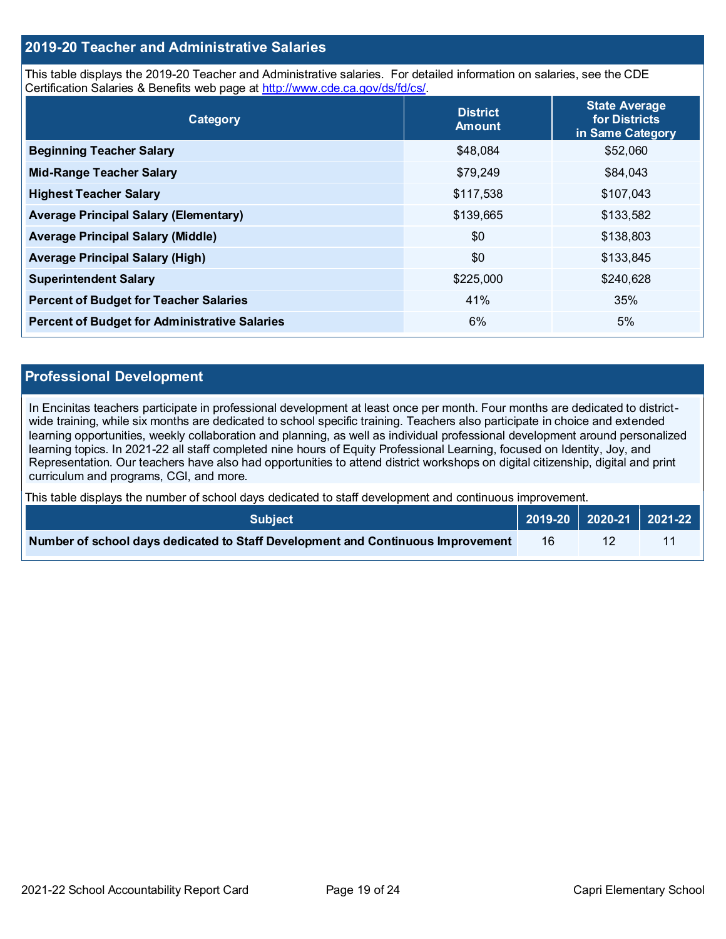## **2019-20 Teacher and Administrative Salaries**

This table displays the 2019-20 Teacher and Administrative salaries. For detailed information on salaries, see the CDE Certification Salaries & Benefits web page at [http://www.cde.ca.gov/ds/fd/cs/.](http://www.cde.ca.gov/ds/fd/cs/)

| Category                                             | <b>District</b><br><b>Amount</b> | <b>State Average</b><br>for Districts<br>in Same Category |
|------------------------------------------------------|----------------------------------|-----------------------------------------------------------|
| <b>Beginning Teacher Salary</b>                      | \$48,084                         | \$52,060                                                  |
| <b>Mid-Range Teacher Salary</b>                      | \$79,249                         | \$84,043                                                  |
| <b>Highest Teacher Salary</b>                        | \$117,538                        | \$107,043                                                 |
| <b>Average Principal Salary (Elementary)</b>         | \$139,665                        | \$133,582                                                 |
| <b>Average Principal Salary (Middle)</b>             | \$0                              | \$138,803                                                 |
| <b>Average Principal Salary (High)</b>               | \$0                              | \$133,845                                                 |
| <b>Superintendent Salary</b>                         | \$225,000                        | \$240,628                                                 |
| <b>Percent of Budget for Teacher Salaries</b>        | 41%                              | 35%                                                       |
| <b>Percent of Budget for Administrative Salaries</b> | 6%                               | 5%                                                        |

#### **Professional Development**

In Encinitas teachers participate in professional development at least once per month. Four months are dedicated to districtwide training, while six months are dedicated to school specific training. Teachers also participate in choice and extended learning opportunities, weekly collaboration and planning, as well as individual professional development around personalized learning topics. In 2021-22 all staff completed nine hours of Equity Professional Learning, focused on Identity, Joy, and Representation. Our teachers have also had opportunities to attend district workshops on digital citizenship, digital and print curriculum and programs, CGI, and more.

This table displays the number of school days dedicated to staff development and continuous improvement.

| <b>Subiect</b> \                                                                |    | 2019-20   2020-21   2021-22 |
|---------------------------------------------------------------------------------|----|-----------------------------|
| Number of school days dedicated to Staff Development and Continuous Improvement | 16 |                             |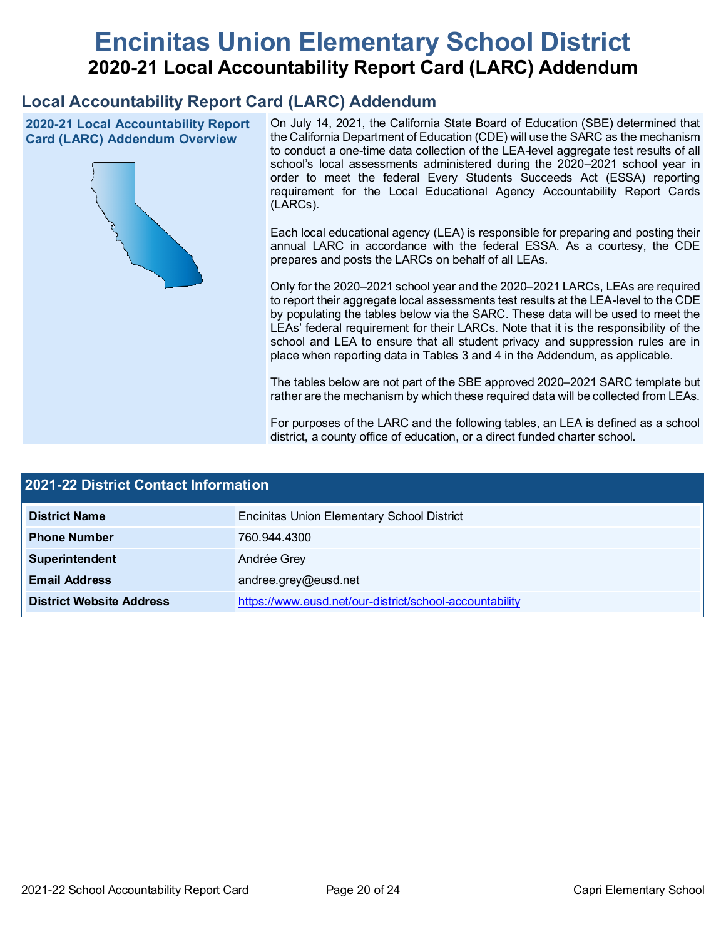# **Encinitas Union Elementary School District 2020-21 Local Accountability Report Card (LARC) Addendum**

## **Local Accountability Report Card (LARC) Addendum**

**2020-21 Local Accountability Report Card (LARC) Addendum Overview**



On July 14, 2021, the California State Board of Education (SBE) determined that the California Department of Education (CDE) will use the SARC as the mechanism to conduct a one-time data collection of the LEA-level aggregate test results of all school's local assessments administered during the 2020–2021 school year in order to meet the federal Every Students Succeeds Act (ESSA) reporting requirement for the Local Educational Agency Accountability Report Cards (LARCs).

Each local educational agency (LEA) is responsible for preparing and posting their annual LARC in accordance with the federal ESSA. As a courtesy, the CDE prepares and posts the LARCs on behalf of all LEAs.

Only for the 2020–2021 school year and the 2020–2021 LARCs, LEAs are required to report their aggregate local assessments test results at the LEA-level to the CDE by populating the tables below via the SARC. These data will be used to meet the LEAs' federal requirement for their LARCs. Note that it is the responsibility of the school and LEA to ensure that all student privacy and suppression rules are in place when reporting data in Tables 3 and 4 in the Addendum, as applicable.

The tables below are not part of the SBE approved 2020–2021 SARC template but rather are the mechanism by which these required data will be collected from LEAs.

For purposes of the LARC and the following tables, an LEA is defined as a school district, a county office of education, or a direct funded charter school.

| 2021-22 District Contact Information |                                                         |  |  |  |
|--------------------------------------|---------------------------------------------------------|--|--|--|
| <b>District Name</b>                 | <b>Encinitas Union Elementary School District</b>       |  |  |  |
| <b>Phone Number</b>                  | 760.944.4300                                            |  |  |  |
| Superintendent                       | Andrée Grey                                             |  |  |  |
| <b>Email Address</b>                 | andree.grey@eusd.net                                    |  |  |  |
| <b>District Website Address</b>      | https://www.eusd.net/our-district/school-accountability |  |  |  |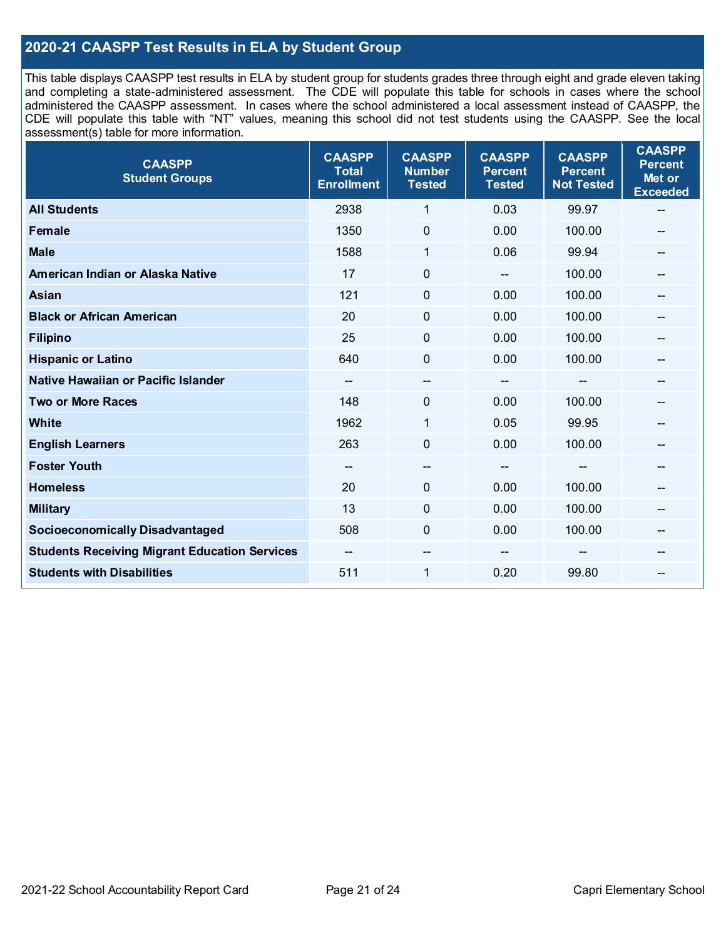## **2020-21 CAASPP Test Results in ELA by Student Group**

This table displays CAASPP test results in ELA by student group for students grades three through eight and grade eleven taking and completing a state-administered assessment. The CDE will populate this table for schools in cases where the school administered the CAASPP assessment. In cases where the school administered a local assessment instead of CAASPP, the CDE will populate this table with "NT" values, meaning this school did not test students using the CAASPP. See the local assessment(s) table for more information.

| <b>CAASPP</b><br><b>Student Groups</b>               | <b>CAASPP</b><br><b>Total</b><br><b>Enrollment</b> | <b>CAASPP</b><br><b>Number</b><br><b>Tested</b> | <b>CAASPP</b><br><b>Percent</b><br><b>Tested</b> | <b>CAASPP</b><br><b>Percent</b><br><b>Not Tested</b> | <b>CAASPP</b><br><b>Percent</b><br>Met or<br><b>Exceeded</b> |
|------------------------------------------------------|----------------------------------------------------|-------------------------------------------------|--------------------------------------------------|------------------------------------------------------|--------------------------------------------------------------|
| <b>All Students</b>                                  | 2938                                               | 1                                               | 0.03                                             | 99.97                                                | --                                                           |
| <b>Female</b>                                        | 1350                                               | $\mathbf 0$                                     | 0.00                                             | 100.00                                               | --                                                           |
| <b>Male</b>                                          | 1588                                               | $\mathbf{1}$                                    | 0.06                                             | 99.94                                                | --                                                           |
| American Indian or Alaska Native                     | 17                                                 | $\pmb{0}$                                       | $\qquad \qquad \blacksquare$                     | 100.00                                               | --                                                           |
| <b>Asian</b>                                         | 121                                                | 0                                               | 0.00                                             | 100.00                                               |                                                              |
| <b>Black or African American</b>                     | 20                                                 | $\mathbf 0$                                     | 0.00                                             | 100.00                                               | --                                                           |
| <b>Filipino</b>                                      | 25                                                 | $\mathbf 0$                                     | 0.00                                             | 100.00                                               | --                                                           |
| <b>Hispanic or Latino</b>                            | 640                                                | $\mathbf 0$                                     | 0.00                                             | 100.00                                               | --                                                           |
| Native Hawaiian or Pacific Islander                  | --                                                 | $\overline{\phantom{a}}$                        | --                                               | --                                                   | --                                                           |
| <b>Two or More Races</b>                             | 148                                                | 0                                               | 0.00                                             | 100.00                                               | --                                                           |
| <b>White</b>                                         | 1962                                               | 1                                               | 0.05                                             | 99.95                                                | --                                                           |
| <b>English Learners</b>                              | 263                                                | $\mathbf 0$                                     | 0.00                                             | 100.00                                               |                                                              |
| <b>Foster Youth</b>                                  | $\overline{\phantom{m}}$                           | $\hspace{0.05cm}$ – $\hspace{0.05cm}$           | $\hspace{0.05cm}$ – $\hspace{0.05cm}$            | $-$                                                  | --                                                           |
| <b>Homeless</b>                                      | 20                                                 | $\pmb{0}$                                       | 0.00                                             | 100.00                                               | --                                                           |
| <b>Military</b>                                      | 13                                                 | $\mathbf 0$                                     | 0.00                                             | 100.00                                               | --                                                           |
| <b>Socioeconomically Disadvantaged</b>               | 508                                                | $\Omega$                                        | 0.00                                             | 100.00                                               | --                                                           |
| <b>Students Receiving Migrant Education Services</b> |                                                    | --                                              |                                                  |                                                      |                                                              |
| <b>Students with Disabilities</b>                    | 511                                                | $\mathbf{1}$                                    | 0.20                                             | 99.80                                                | --                                                           |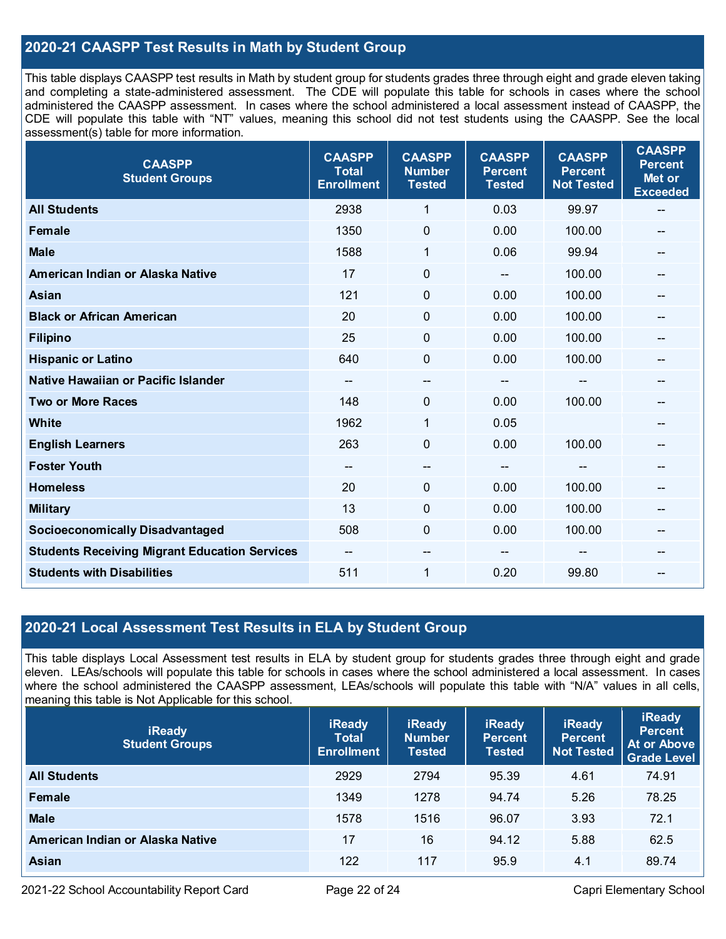## **2020-21 CAASPP Test Results in Math by Student Group**

This table displays CAASPP test results in Math by student group for students grades three through eight and grade eleven taking and completing a state-administered assessment. The CDE will populate this table for schools in cases where the school administered the CAASPP assessment. In cases where the school administered a local assessment instead of CAASPP, the CDE will populate this table with "NT" values, meaning this school did not test students using the CAASPP. See the local assessment(s) table for more information.

| <b>CAASPP</b><br><b>Student Groups</b>               | <b>CAASPP</b><br><b>Total</b><br><b>Enrollment</b> | <b>CAASPP</b><br><b>Number</b><br><b>Tested</b> | <b>CAASPP</b><br><b>Percent</b><br><b>Tested</b> | <b>CAASPP</b><br><b>Percent</b><br><b>Not Tested</b> | <b>CAASPP</b><br><b>Percent</b><br>Met or<br><b>Exceeded</b> |
|------------------------------------------------------|----------------------------------------------------|-------------------------------------------------|--------------------------------------------------|------------------------------------------------------|--------------------------------------------------------------|
| <b>All Students</b>                                  | 2938                                               | $\mathbf{1}$                                    | 0.03                                             | 99.97                                                | --                                                           |
| <b>Female</b>                                        | 1350                                               | $\mathbf 0$                                     | 0.00                                             | 100.00                                               |                                                              |
| <b>Male</b>                                          | 1588                                               | 1                                               | 0.06                                             | 99.94                                                | $-$                                                          |
| American Indian or Alaska Native                     | 17                                                 | $\pmb{0}$                                       | $-$                                              | 100.00                                               | --                                                           |
| Asian                                                | 121                                                | 0                                               | 0.00                                             | 100.00                                               | --                                                           |
| <b>Black or African American</b>                     | 20                                                 | $\Omega$                                        | 0.00                                             | 100.00                                               | --                                                           |
| <b>Filipino</b>                                      | 25                                                 | $\mathbf 0$                                     | 0.00                                             | 100.00                                               |                                                              |
| <b>Hispanic or Latino</b>                            | 640                                                | $\mathbf 0$                                     | 0.00                                             | 100.00                                               | $\overline{\phantom{a}}$                                     |
| Native Hawaiian or Pacific Islander                  | --                                                 | --                                              | --                                               | --                                                   | --                                                           |
| <b>Two or More Races</b>                             | 148                                                | 0                                               | 0.00                                             | 100.00                                               | --                                                           |
| <b>White</b>                                         | 1962                                               | 1                                               | 0.05                                             |                                                      |                                                              |
| <b>English Learners</b>                              | 263                                                | $\mathbf 0$                                     | 0.00                                             | 100.00                                               |                                                              |
| <b>Foster Youth</b>                                  | --                                                 | $\hspace{0.05cm}$ – $\hspace{0.05cm}$           | --                                               | $\mathbf{m}$                                         | --                                                           |
| <b>Homeless</b>                                      | 20                                                 | $\mathbf 0$                                     | 0.00                                             | 100.00                                               | --                                                           |
| <b>Military</b>                                      | 13                                                 | $\mathbf 0$                                     | 0.00                                             | 100.00                                               |                                                              |
| <b>Socioeconomically Disadvantaged</b>               | 508                                                | 0                                               | 0.00                                             | 100.00                                               | --                                                           |
| <b>Students Receiving Migrant Education Services</b> | --                                                 | --                                              |                                                  |                                                      |                                                              |
| <b>Students with Disabilities</b>                    | 511                                                | 1                                               | 0.20                                             | 99.80                                                | $-$                                                          |

## **2020-21 Local Assessment Test Results in ELA by Student Group**

This table displays Local Assessment test results in ELA by student group for students grades three through eight and grade eleven. LEAs/schools will populate this table for schools in cases where the school administered a local assessment. In cases where the school administered the CAASPP assessment, LEAs/schools will populate this table with "N/A" values in all cells, meaning this table is Not Applicable for this school.

| <b>iReady</b><br><b>Student Groups</b> | <b>iReady</b><br><b>Total</b><br><b>Enrollment</b> | <b>iReady</b><br><b>Number</b><br><b>Tested</b> | <b>iReady</b><br><b>Percent</b><br><b>Tested</b> | <b>iReady</b><br><b>Percent</b><br><b>Not Tested</b> | <b>iReady</b><br><b>Percent</b><br>At or Above<br><b>Grade Level</b> |
|----------------------------------------|----------------------------------------------------|-------------------------------------------------|--------------------------------------------------|------------------------------------------------------|----------------------------------------------------------------------|
| <b>All Students</b>                    | 2929                                               | 2794                                            | 95.39                                            | 4.61                                                 | 74.91                                                                |
| Female                                 | 1349                                               | 1278                                            | 94.74                                            | 5.26                                                 | 78.25                                                                |
| <b>Male</b>                            | 1578                                               | 1516                                            | 96.07                                            | 3.93                                                 | 72.1                                                                 |
| American Indian or Alaska Native       | 17                                                 | 16                                              | 94.12                                            | 5.88                                                 | 62.5                                                                 |
| <b>Asian</b>                           | 122                                                | 117                                             | 95.9                                             | 4.1                                                  | 89.74                                                                |

2021-22 School Accountability Report Card Page 22 of 24 Capri Elementary School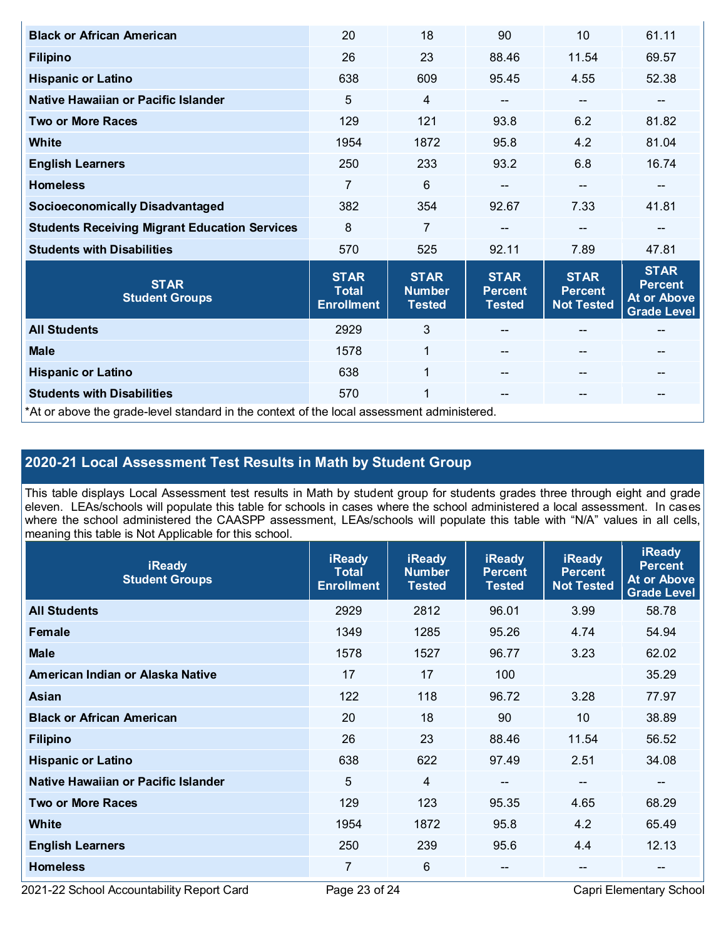| <b>Black or African American</b>                                                           | 20                                               | 18                                            | 90                                             | 10                                                 | 61.11                                                              |  |
|--------------------------------------------------------------------------------------------|--------------------------------------------------|-----------------------------------------------|------------------------------------------------|----------------------------------------------------|--------------------------------------------------------------------|--|
| <b>Filipino</b>                                                                            | 26                                               | 23                                            | 88.46                                          | 11.54                                              | 69.57                                                              |  |
| <b>Hispanic or Latino</b>                                                                  | 638                                              | 609                                           | 95.45                                          | 4.55                                               | 52.38                                                              |  |
| Native Hawaiian or Pacific Islander                                                        | 5                                                | $\overline{4}$                                | --                                             | --                                                 | --                                                                 |  |
| <b>Two or More Races</b>                                                                   | 129                                              | 121                                           | 93.8                                           | 6.2                                                | 81.82                                                              |  |
| <b>White</b>                                                                               | 1954                                             | 1872                                          | 95.8                                           | 4.2                                                | 81.04                                                              |  |
| <b>English Learners</b>                                                                    | 250                                              | 233                                           | 93.2                                           | 6.8                                                | 16.74                                                              |  |
| <b>Homeless</b>                                                                            | 7                                                | 6                                             | --                                             | $-$                                                |                                                                    |  |
| <b>Socioeconomically Disadvantaged</b>                                                     | 382                                              | 354                                           | 92.67                                          | 7.33                                               | 41.81                                                              |  |
| <b>Students Receiving Migrant Education Services</b>                                       | 8                                                | $\overline{7}$                                |                                                | $\qquad \qquad -$                                  | --                                                                 |  |
| <b>Students with Disabilities</b>                                                          | 570                                              | 525                                           | 92.11                                          | 7.89                                               | 47.81                                                              |  |
| <b>STAR</b><br><b>Student Groups</b>                                                       | <b>STAR</b><br><b>Total</b><br><b>Enrollment</b> | <b>STAR</b><br><b>Number</b><br><b>Tested</b> | <b>STAR</b><br><b>Percent</b><br><b>Tested</b> | <b>STAR</b><br><b>Percent</b><br><b>Not Tested</b> | <b>STAR</b><br><b>Percent</b><br>At or Above<br><b>Grade Level</b> |  |
| <b>All Students</b>                                                                        | 2929                                             | 3                                             |                                                |                                                    |                                                                    |  |
| <b>Male</b>                                                                                | 1578                                             | $\mathbf{1}$                                  |                                                | $\qquad \qquad -$                                  | --                                                                 |  |
| <b>Hispanic or Latino</b>                                                                  | 638                                              | $\mathbf{1}$                                  |                                                | $-$                                                | --                                                                 |  |
| <b>Students with Disabilities</b>                                                          | 570                                              | 1                                             | $\qquad \qquad -$                              | $- -$                                              | --                                                                 |  |
| *At or above the grade-level standard in the context of the local assessment administered. |                                                  |                                               |                                                |                                                    |                                                                    |  |

# **2020-21 Local Assessment Test Results in Math by Student Group**

This table displays Local Assessment test results in Math by student group for students grades three through eight and grade eleven. LEAs/schools will populate this table for schools in cases where the school administered a local assessment. In cases where the school administered the CAASPP assessment, LEAs/schools will populate this table with "N/A" values in all cells, meaning this table is Not Applicable for this school.

| <b>iReady</b><br><b>Student Groups</b> | <b>iReady</b><br><b>Total</b><br><b>Enrollment</b> | <b>iReady</b><br><b>Number</b><br><b>Tested</b> | <b>iReady</b><br><b>Percent</b><br><b>Tested</b> | <b>iReady</b><br><b>Percent</b><br><b>Not Tested</b> | <b>iReady</b><br><b>Percent</b><br><b>At or Above</b><br><b>Grade Level</b> |
|----------------------------------------|----------------------------------------------------|-------------------------------------------------|--------------------------------------------------|------------------------------------------------------|-----------------------------------------------------------------------------|
| <b>All Students</b>                    | 2929                                               | 2812                                            | 96.01                                            | 3.99                                                 | 58.78                                                                       |
| Female                                 | 1349                                               | 1285                                            | 95.26                                            | 4.74                                                 | 54.94                                                                       |
| <b>Male</b>                            | 1578                                               | 1527                                            | 96.77                                            | 3.23                                                 | 62.02                                                                       |
| American Indian or Alaska Native       | 17                                                 | 17                                              | 100                                              |                                                      | 35.29                                                                       |
| Asian                                  | 122                                                | 118                                             | 96.72                                            | 3.28                                                 | 77.97                                                                       |
| <b>Black or African American</b>       | 20                                                 | 18                                              | 90                                               | 10                                                   | 38.89                                                                       |
| <b>Filipino</b>                        | 26                                                 | 23                                              | 88.46                                            | 11.54                                                | 56.52                                                                       |
| <b>Hispanic or Latino</b>              | 638                                                | 622                                             | 97.49                                            | 2.51                                                 | 34.08                                                                       |
| Native Hawaiian or Pacific Islander    | 5                                                  | 4                                               | $\overline{\phantom{m}}$                         | --                                                   | --                                                                          |
| <b>Two or More Races</b>               | 129                                                | 123                                             | 95.35                                            | 4.65                                                 | 68.29                                                                       |
| White                                  | 1954                                               | 1872                                            | 95.8                                             | 4.2                                                  | 65.49                                                                       |
| <b>English Learners</b>                | 250                                                | 239                                             | 95.6                                             | 4.4                                                  | 12.13                                                                       |
| <b>Homeless</b>                        | 7                                                  | 6                                               | $- -$                                            | --                                                   | --                                                                          |